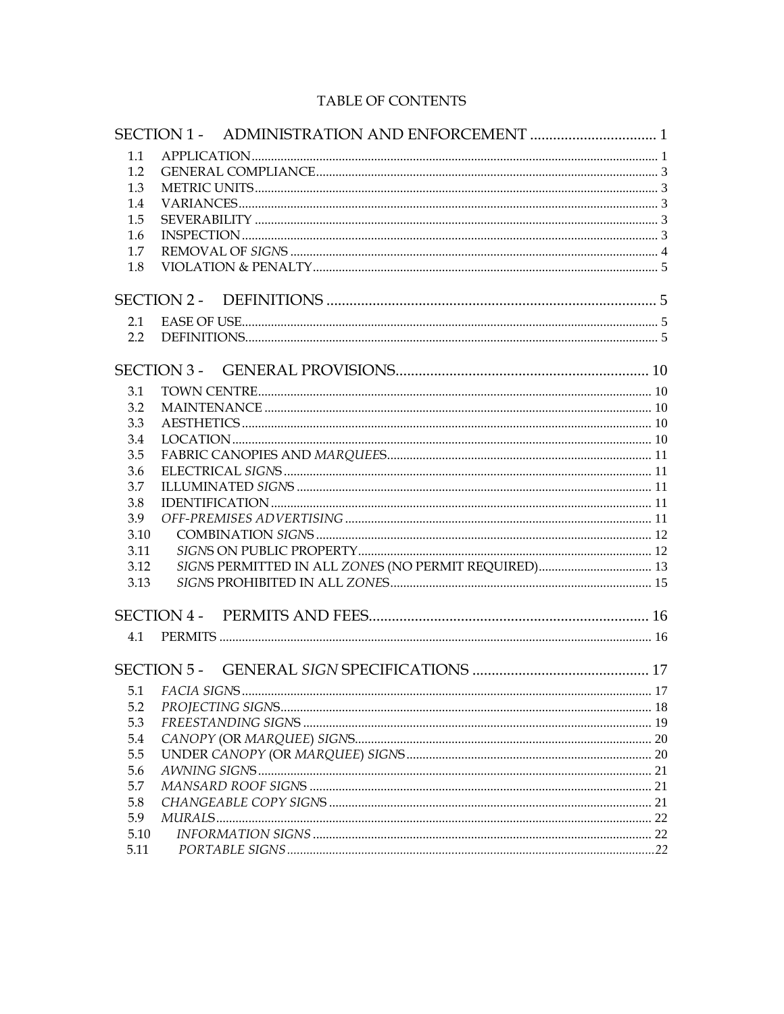# TABLE OF CONTENTS

| 1.1        |                                                      |  |
|------------|------------------------------------------------------|--|
| 1.2        |                                                      |  |
| 1.3        |                                                      |  |
| 1.4        |                                                      |  |
| 1.5        |                                                      |  |
| 1.6        |                                                      |  |
| 1.7        |                                                      |  |
| 1.8        |                                                      |  |
|            |                                                      |  |
|            |                                                      |  |
| 2.1        |                                                      |  |
| 2.2        |                                                      |  |
|            | SECTION 3 -                                          |  |
| 3.1        |                                                      |  |
| 3.2        |                                                      |  |
| 3.3        |                                                      |  |
| 3.4        |                                                      |  |
| 3.5        |                                                      |  |
| 3.6        |                                                      |  |
| 3.7        |                                                      |  |
|            |                                                      |  |
| 3.8<br>3.9 |                                                      |  |
|            |                                                      |  |
| 3.10       |                                                      |  |
| 3.11       |                                                      |  |
| 3.12       | SIGNS PERMITTED IN ALL ZONES (NO PERMIT REQUIRED) 13 |  |
| 3.13       |                                                      |  |
|            |                                                      |  |
| 4.1        |                                                      |  |
|            |                                                      |  |
|            |                                                      |  |
| 5.1        |                                                      |  |
| 5.2        |                                                      |  |
| 5.3        |                                                      |  |
| 5.4        |                                                      |  |
| 5.5        |                                                      |  |
| 5.6        |                                                      |  |
| 5.7        |                                                      |  |
| 5.8        |                                                      |  |
| 5.9        |                                                      |  |
| 5.10       |                                                      |  |
| 5.11       |                                                      |  |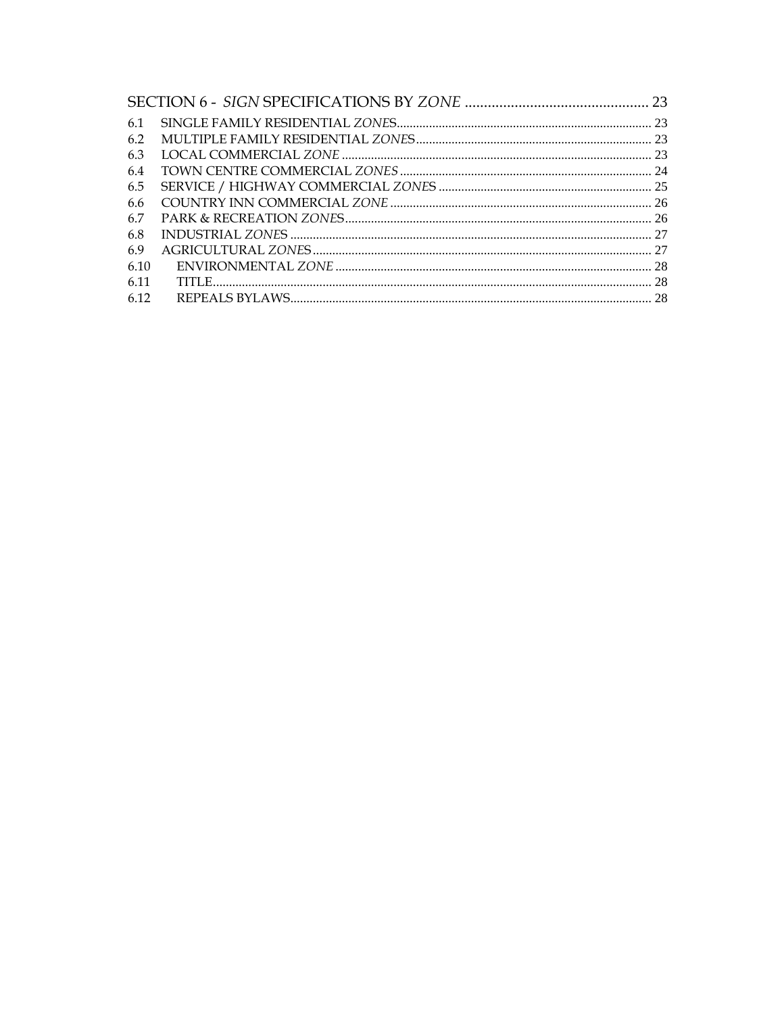| 6.1  |  |
|------|--|
| 6.2  |  |
| 6.3  |  |
| 6.4  |  |
| 6.5  |  |
| 6.6  |  |
| 6.7  |  |
| 6.8  |  |
| 6.9  |  |
| 6.10 |  |
| 6.11 |  |
| 6.12 |  |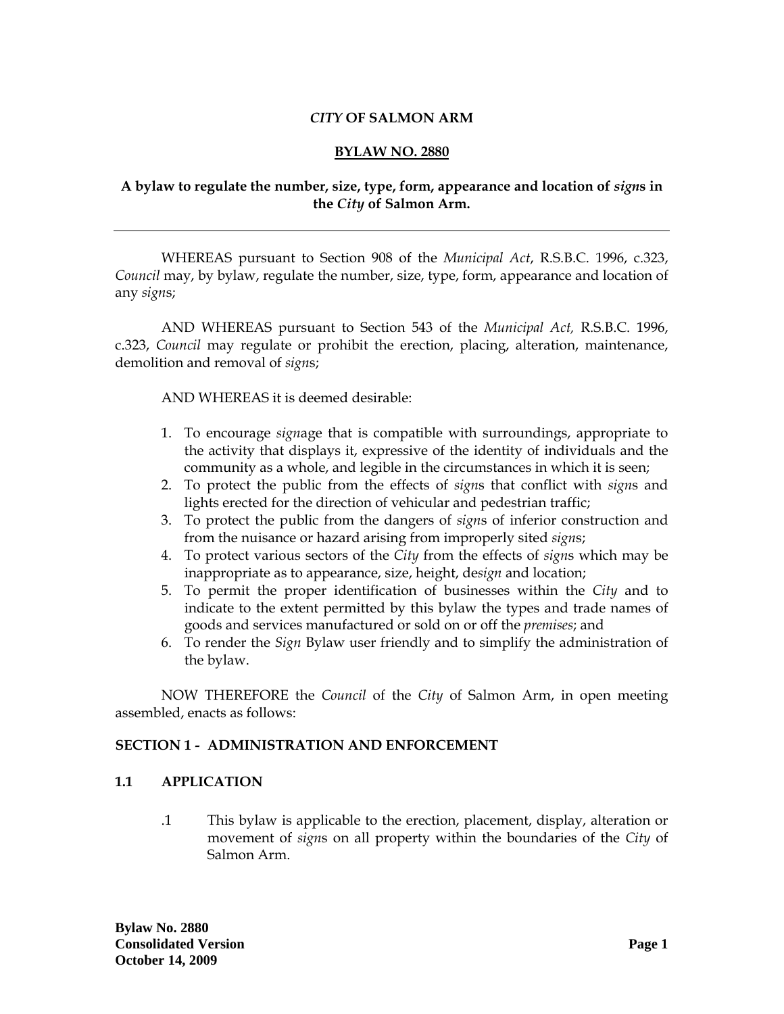### *CITY* **OF SALMON ARM**

#### **BYLAW NO. 2880**

## <span id="page-2-0"></span>**A bylaw to regulate the number, size, type, form, appearance and location of** *sign***s in the** *City* **of Salmon Arm.**

WHEREAS pursuant to Section 908 of the *Municipal Act*, R.S.B.C. 1996, c.323, *Council* may, by bylaw, regulate the number, size, type, form, appearance and location of any *sign*s;

AND WHEREAS pursuant to Section 543 of the *Municipal Act,* R.S.B.C. 1996, c.323, *Council* may regulate or prohibit the erection, placing, alteration, maintenance, demolition and removal of *sign*s;

AND WHEREAS it is deemed desirable:

- 1. To encourage *sign*age that is compatible with surroundings, appropriate to the activity that displays it, expressive of the identity of individuals and the community as a whole, and legible in the circumstances in which it is seen;
- 2. To protect the public from the effects of *sign*s that conflict with *sign*s and lights erected for the direction of vehicular and pedestrian traffic;
- 3. To protect the public from the dangers of *sign*s of inferior construction and from the nuisance or hazard arising from improperly sited *sign*s;
- 4. To protect various sectors of the *City* from the effects of *sign*s which may be inappropriate as to appearance, size, height, de*sign* and location;
- 5. To permit the proper identification of businesses within the *City* and to indicate to the extent permitted by this bylaw the types and trade names of goods and services manufactured or sold on or off the *premises*; and
- 6. To render the *Sign* Bylaw user friendly and to simplify the administration of the bylaw.

NOW THEREFORE the *Council* of the *City* of Salmon Arm, in open meeting assembled, enacts as follows:

#### **SECTION 1 - ADMINISTRATION AND ENFORCEMENT**

#### **1.1 APPLICATION**

.1 This bylaw is applicable to the erection, placement, display, alteration or movement of *sign*s on all property within the boundaries of the *City* of Salmon Arm.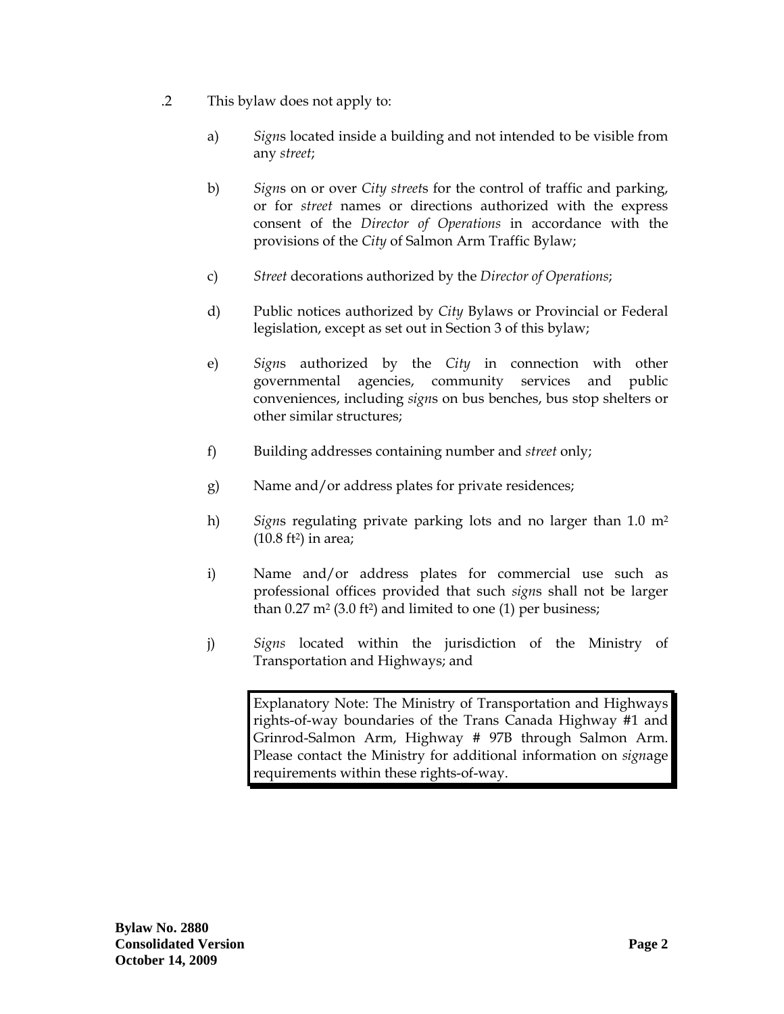- .2 This bylaw does not apply to:
	- a) *Sign*s located inside a building and not intended to be visible from any *street*;
	- b) *Sign*s on or over *City street*s for the control of traffic and parking, or for *street* names or directions authorized with the express consent of the *Director of Operations* in accordance with the provisions of the *City* of Salmon Arm Traffic Bylaw;
	- c) *Street* decorations authorized by the *Director of Operations*;
	- d) Public notices authorized by *City* Bylaws or Provincial or Federal legislation, except as set out in Section 3 of this bylaw;
	- e) *Sign*s authorized by the *City* in connection with other governmental agencies, community services and public conveniences, including *sign*s on bus benches, bus stop shelters or other similar structures;
	- f) Building addresses containing number and *street* only;
	- g) Name and/or address plates for private residences;
	- h) *Sign*s regulating private parking lots and no larger than 1.0 m2  $(10.8 \text{ ft}^2)$  in area;
	- i) Name and/or address plates for commercial use such as professional offices provided that such *sign*s shall not be larger than  $0.27 \text{ m}^2 (3.0 \text{ ft}^2)$  and limited to one  $(1)$  per business;
	- j) *Signs* located within the jurisdiction of the Ministry of Transportation and Highways; and

Explanatory Note: The Ministry of Transportation and Highways rights-of-way boundaries of the Trans Canada Highway #1 and Grinrod-Salmon Arm, Highway # 97B through Salmon Arm. Please contact the Ministry for additional information on *sign*age requirements within these rights-of-way.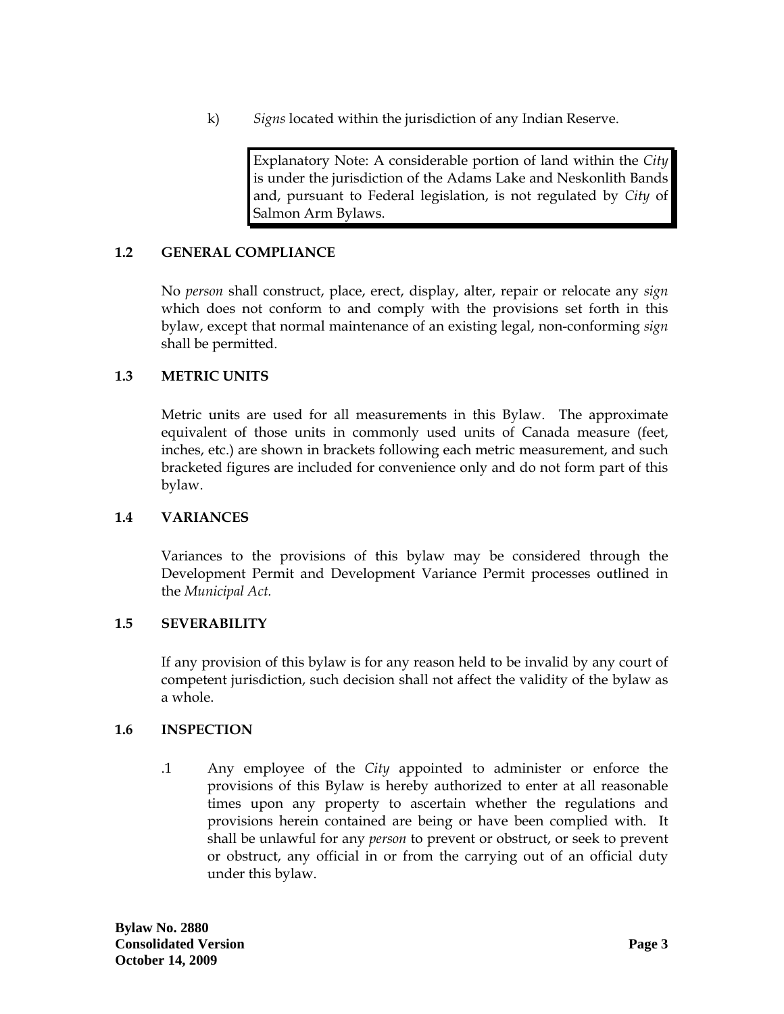<span id="page-4-0"></span>k) *Signs* located within the jurisdiction of any Indian Reserve.

Explanatory Note: A considerable portion of land within the *City* is under the jurisdiction of the Adams Lake and Neskonlith Bands and, pursuant to Federal legislation, is not regulated by *City* of Salmon Arm Bylaws.

### **1.2 GENERAL COMPLIANCE**

No *person* shall construct, place, erect, display, alter, repair or relocate any *sign*  which does not conform to and comply with the provisions set forth in this bylaw, except that normal maintenance of an existing legal, non-conforming *sign*  shall be permitted.

## **1.3 METRIC UNITS**

Metric units are used for all measurements in this Bylaw. The approximate equivalent of those units in commonly used units of Canada measure (feet, inches, etc.) are shown in brackets following each metric measurement, and such bracketed figures are included for convenience only and do not form part of this bylaw.

### **1.4 VARIANCES**

Variances to the provisions of this bylaw may be considered through the Development Permit and Development Variance Permit processes outlined in the *Municipal Act.*

### **1.5 SEVERABILITY**

If any provision of this bylaw is for any reason held to be invalid by any court of competent jurisdiction, such decision shall not affect the validity of the bylaw as a whole.

### **1.6 INSPECTION**

.1 Any employee of the *City* appointed to administer or enforce the provisions of this Bylaw is hereby authorized to enter at all reasonable times upon any property to ascertain whether the regulations and provisions herein contained are being or have been complied with. It shall be unlawful for any *person* to prevent or obstruct, or seek to prevent or obstruct, any official in or from the carrying out of an official duty under this bylaw.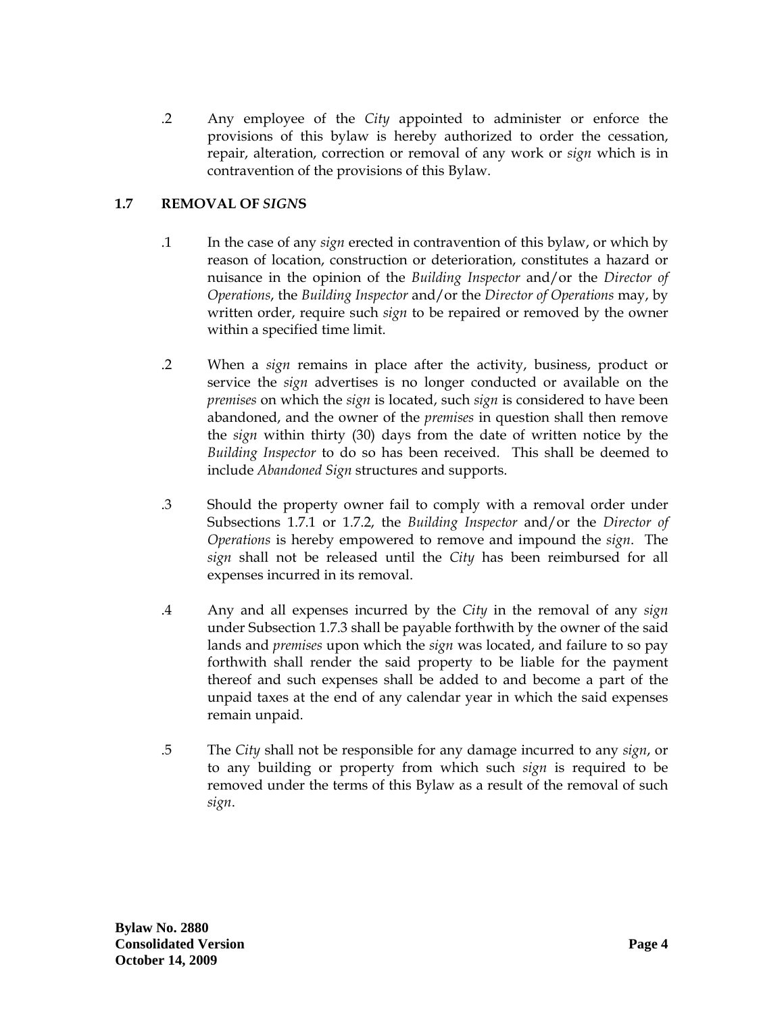<span id="page-5-0"></span>.2 Any employee of the *City* appointed to administer or enforce the provisions of this bylaw is hereby authorized to order the cessation, repair, alteration, correction or removal of any work or *sign* which is in contravention of the provisions of this Bylaw.

# **1.7 REMOVAL OF** *SIGN***S**

- .1 In the case of any *sign* erected in contravention of this bylaw, or which by reason of location, construction or deterioration, constitutes a hazard or nuisance in the opinion of the *Building Inspector* and/or the *Director of Operations*, the *Building Inspector* and/or the *Director of Operations* may, by written order, require such *sign* to be repaired or removed by the owner within a specified time limit.
- .2 When a *sign* remains in place after the activity, business, product or service the *sign* advertises is no longer conducted or available on the *premises* on which the *sign* is located, such *sign* is considered to have been abandoned, and the owner of the *premises* in question shall then remove the *sign* within thirty (30) days from the date of written notice by the *Building Inspector* to do so has been received. This shall be deemed to include *Abandoned Sign* structures and supports.
- .3 Should the property owner fail to comply with a removal order under Subsections 1.7.1 or 1.7.2, the *Building Inspector* and/or the *Director of Operations* is hereby empowered to remove and impound the *sign*. The *sign* shall not be released until the *City* has been reimbursed for all expenses incurred in its removal.
- .4 Any and all expenses incurred by the *City* in the removal of any *sign*  under Subsection 1.7.3 shall be payable forthwith by the owner of the said lands and *premises* upon which the *sign* was located, and failure to so pay forthwith shall render the said property to be liable for the payment thereof and such expenses shall be added to and become a part of the unpaid taxes at the end of any calendar year in which the said expenses remain unpaid.
- .5 The *City* shall not be responsible for any damage incurred to any *sign*, or to any building or property from which such *sign* is required to be removed under the terms of this Bylaw as a result of the removal of such *sign*.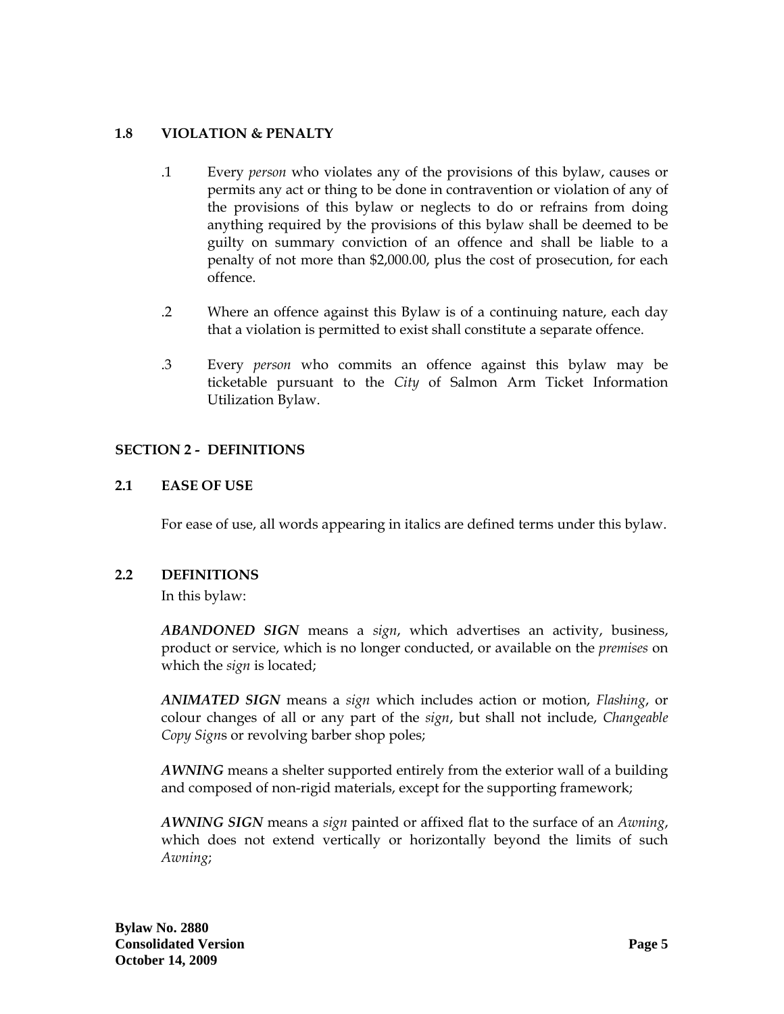## <span id="page-6-0"></span>**1.8 VIOLATION & PENALTY**

- .1 Every *person* who violates any of the provisions of this bylaw, causes or permits any act or thing to be done in contravention or violation of any of the provisions of this bylaw or neglects to do or refrains from doing anything required by the provisions of this bylaw shall be deemed to be guilty on summary conviction of an offence and shall be liable to a penalty of not more than \$2,000.00, plus the cost of prosecution, for each offence.
- .2 Where an offence against this Bylaw is of a continuing nature, each day that a violation is permitted to exist shall constitute a separate offence.
- .3 Every *person* who commits an offence against this bylaw may be ticketable pursuant to the *City* of Salmon Arm Ticket Information Utilization Bylaw.

### **SECTION 2 - DEFINITIONS**

## **2.1 EASE OF USE**

For ease of use, all words appearing in italics are defined terms under this bylaw.

### **2.2 DEFINITIONS**

In this bylaw:

*ABANDONED SIGN* means a *sign*, which advertises an activity, business, product or service, which is no longer conducted, or available on the *premises* on which the *sign* is located;

*ANIMATED SIGN* means a *sign* which includes action or motion, *Flashing*, or colour changes of all or any part of the *sign*, but shall not include, *Changeable Copy Sign*s or revolving barber shop poles;

*AWNING* means a shelter supported entirely from the exterior wall of a building and composed of non-rigid materials, except for the supporting framework;

*AWNING SIGN* means a *sign* painted or affixed flat to the surface of an *Awning*, which does not extend vertically or horizontally beyond the limits of such *Awning*;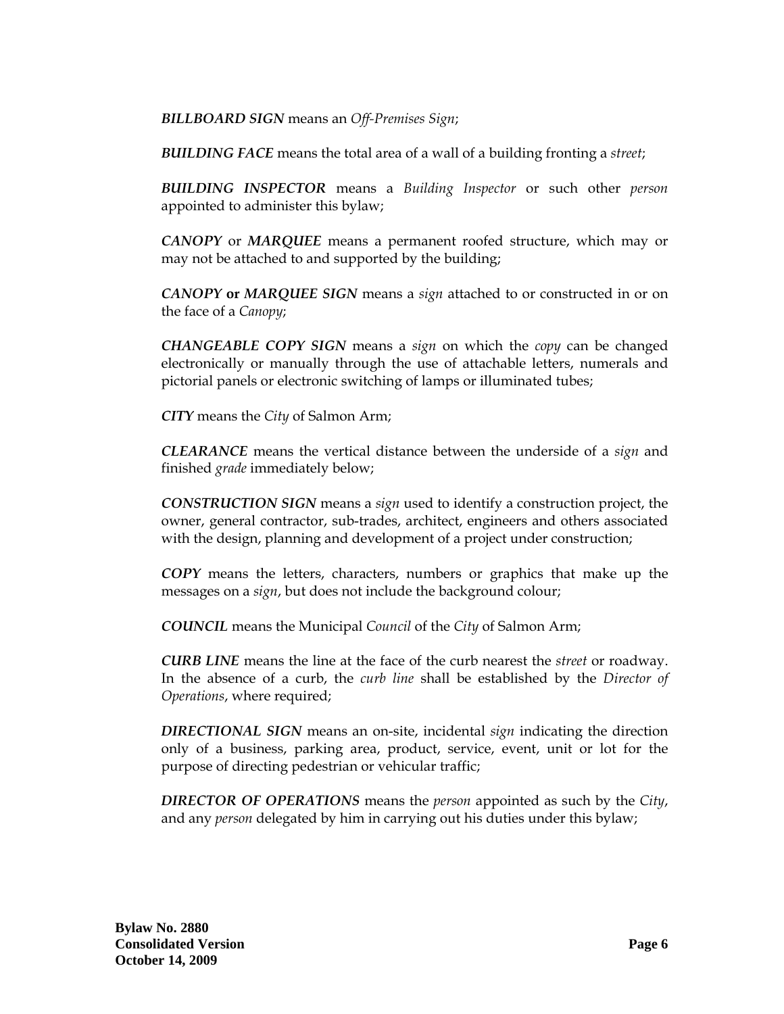*BILLBOARD SIGN* means an *Off-Premises Sign*;

*BUILDING FACE* means the total area of a wall of a building fronting a *street*;

*BUILDING INSPECTOR* means a *Building Inspector* or such other *person* appointed to administer this bylaw;

*CANOPY* or *MARQUEE* means a permanent roofed structure, which may or may not be attached to and supported by the building;

*CANOPY* **or** *MARQUEE SIGN* means a *sign* attached to or constructed in or on the face of a *Canopy*;

*CHANGEABLE COPY SIGN* means a *sign* on which the *copy* can be changed electronically or manually through the use of attachable letters, numerals and pictorial panels or electronic switching of lamps or illuminated tubes;

*CITY* means the *City* of Salmon Arm;

*CLEARANCE* means the vertical distance between the underside of a *sign* and finished *grade* immediately below;

*CONSTRUCTION SIGN* means a *sign* used to identify a construction project, the owner, general contractor, sub-trades, architect, engineers and others associated with the design, planning and development of a project under construction;

*COPY* means the letters, characters, numbers or graphics that make up the messages on a *sign*, but does not include the background colour;

*COUNCIL* means the Municipal *Council* of the *City* of Salmon Arm;

*CURB LINE* means the line at the face of the curb nearest the *street* or roadway. In the absence of a curb, the *curb line* shall be established by the *Director of Operations*, where required;

*DIRECTIONAL SIGN* means an on-site, incidental *sign* indicating the direction only of a business, parking area, product, service, event, unit or lot for the purpose of directing pedestrian or vehicular traffic;

*DIRECTOR OF OPERATIONS* means the *person* appointed as such by the *City*, and any *person* delegated by him in carrying out his duties under this bylaw;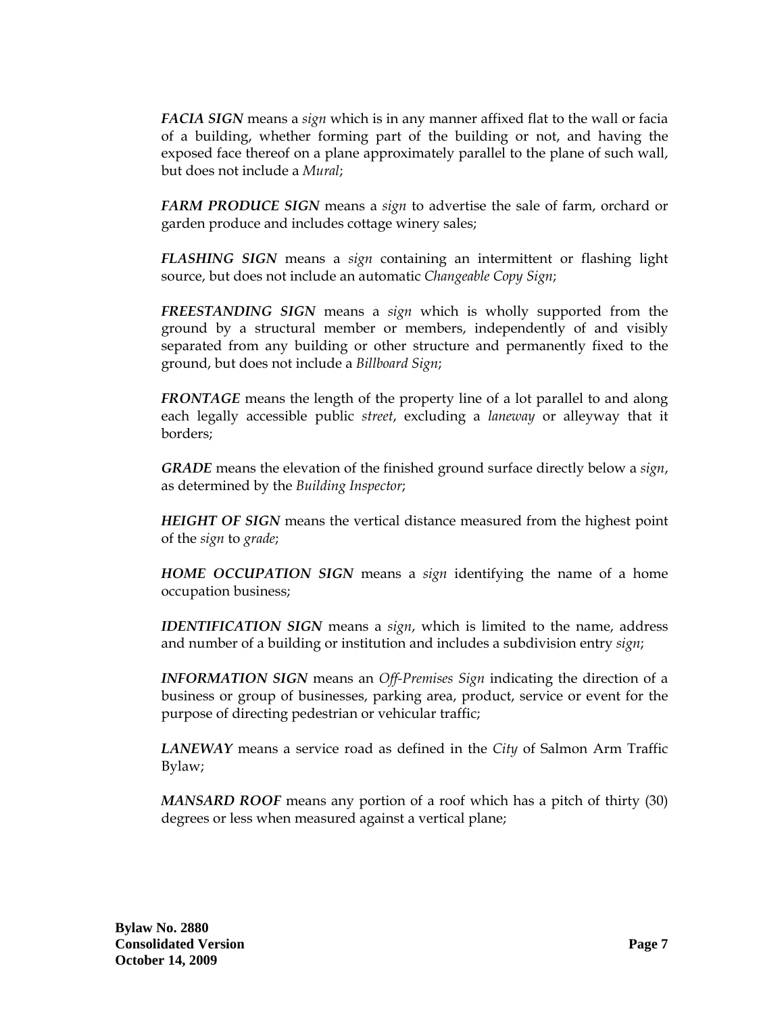*FACIA SIGN* means a *sign* which is in any manner affixed flat to the wall or facia of a building, whether forming part of the building or not, and having the exposed face thereof on a plane approximately parallel to the plane of such wall, but does not include a *Mural*;

*FARM PRODUCE SIGN* means a *sign* to advertise the sale of farm, orchard or garden produce and includes cottage winery sales;

*FLASHING SIGN* means a *sign* containing an intermittent or flashing light source, but does not include an automatic *Changeable Copy Sign*;

*FREESTANDING SIGN* means a *sign* which is wholly supported from the ground by a structural member or members, independently of and visibly separated from any building or other structure and permanently fixed to the ground, but does not include a *Billboard Sign*;

*FRONTAGE* means the length of the property line of a lot parallel to and along each legally accessible public *street*, excluding a *laneway* or alleyway that it borders;

*GRADE* means the elevation of the finished ground surface directly below a *sign*, as determined by the *Building Inspector*;

*HEIGHT OF SIGN* means the vertical distance measured from the highest point of the *sign* to *grade*;

*HOME OCCUPATION SIGN* means a *sign* identifying the name of a home occupation business;

*IDENTIFICATION SIGN* means a *sign*, which is limited to the name, address and number of a building or institution and includes a subdivision entry *sign*;

*INFORMATION SIGN* means an *Off-Premises Sign* indicating the direction of a business or group of businesses, parking area, product, service or event for the purpose of directing pedestrian or vehicular traffic;

*LANEWAY* means a service road as defined in the *City* of Salmon Arm Traffic Bylaw;

*MANSARD ROOF* means any portion of a roof which has a pitch of thirty (30) degrees or less when measured against a vertical plane;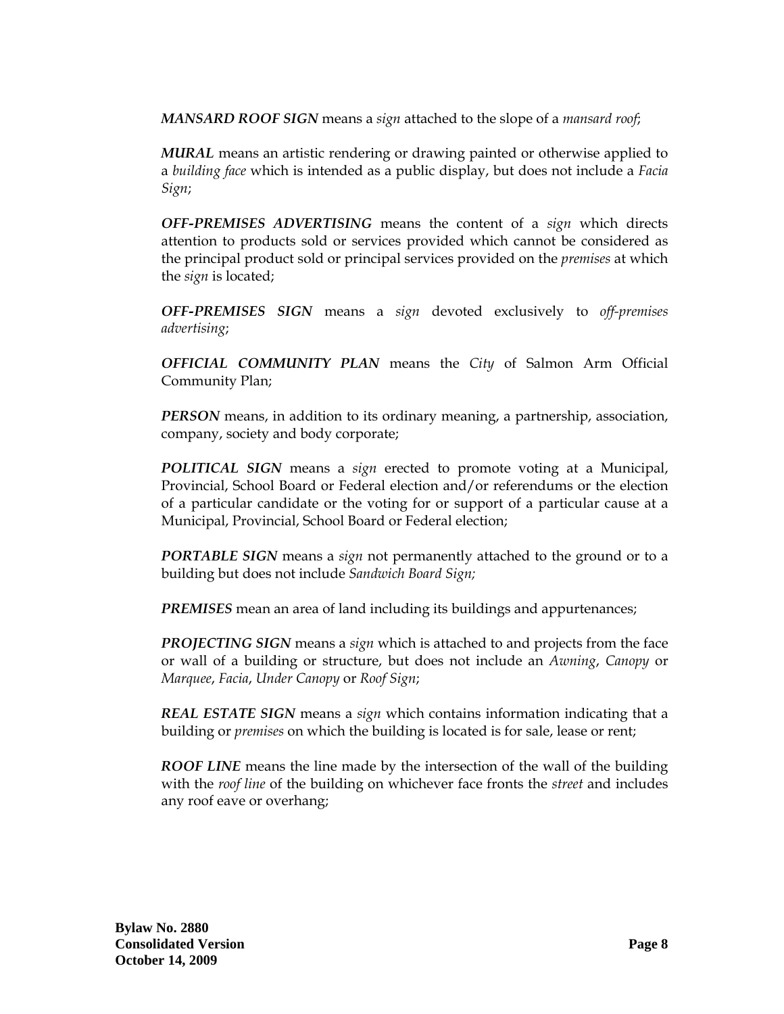*MANSARD ROOF SIGN* means a *sign* attached to the slope of a *mansard roof*;

*MURAL* means an artistic rendering or drawing painted or otherwise applied to a *building face* which is intended as a public display, but does not include a *Facia Sign*;

*OFF-PREMISES ADVERTISING* means the content of a *sign* which directs attention to products sold or services provided which cannot be considered as the principal product sold or principal services provided on the *premises* at which the *sign* is located;

*OFF-PREMISES SIGN* means a *sign* devoted exclusively to *off-premises advertising*;

*OFFICIAL COMMUNITY PLAN* means the *City* of Salmon Arm Official Community Plan;

*PERSON* means, in addition to its ordinary meaning, a partnership, association, company, society and body corporate;

*POLITICAL SIGN* means a *sign* erected to promote voting at a Municipal, Provincial, School Board or Federal election and/or referendums or the election of a particular candidate or the voting for or support of a particular cause at a Municipal, Provincial, School Board or Federal election;

*PORTABLE SIGN* means a *sign* not permanently attached to the ground or to a building but does not include *Sandwich Board Sign;*

**PREMISES** mean an area of land including its buildings and appurtenances;

*PROJECTING SIGN* means a *sign* which is attached to and projects from the face or wall of a building or structure, but does not include an *Awning*, *Canopy* or *Marquee*, *Facia*, *Under Canopy* or *Roof Sign*;

*REAL ESTATE SIGN* means a *sign* which contains information indicating that a building or *premises* on which the building is located is for sale, lease or rent;

*ROOF LINE* means the line made by the intersection of the wall of the building with the *roof line* of the building on whichever face fronts the *street* and includes any roof eave or overhang;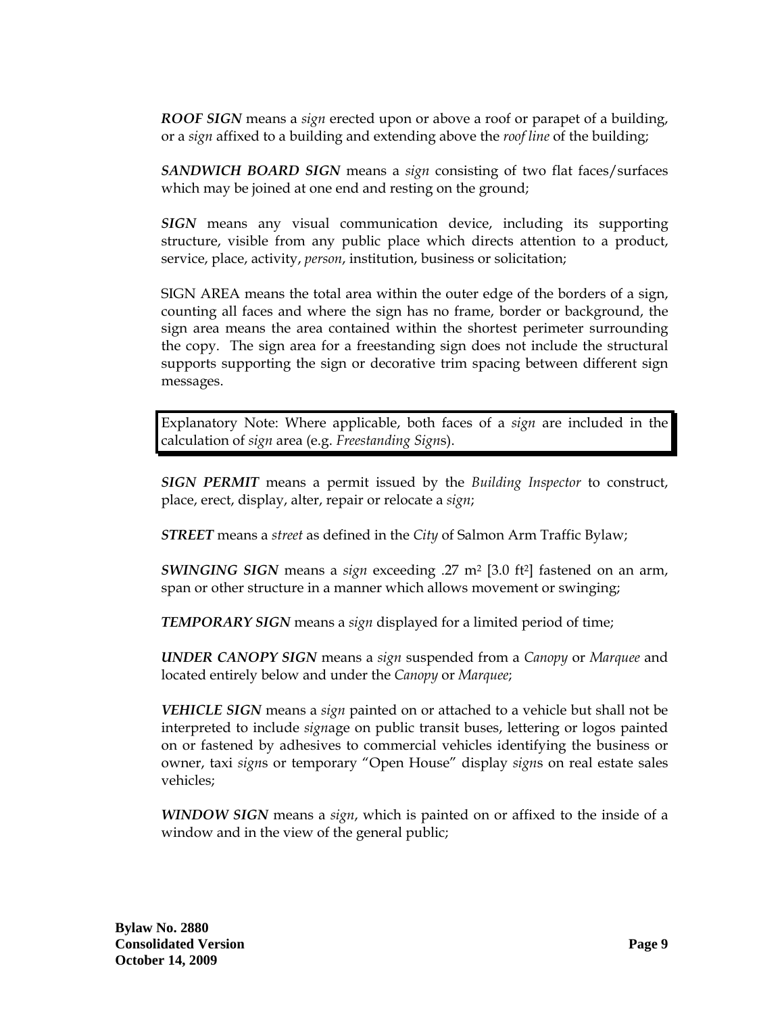*ROOF SIGN* means a *sign* erected upon or above a roof or parapet of a building, or a *sign* affixed to a building and extending above the *roof line* of the building;

*SANDWICH BOARD SIGN* means a *sign* consisting of two flat faces/surfaces which may be joined at one end and resting on the ground;

*SIGN* means any visual communication device, including its supporting structure, visible from any public place which directs attention to a product, service, place, activity, *person*, institution, business or solicitation;

SIGN AREA means the total area within the outer edge of the borders of a sign, counting all faces and where the sign has no frame, border or background, the sign area means the area contained within the shortest perimeter surrounding the copy. The sign area for a freestanding sign does not include the structural supports supporting the sign or decorative trim spacing between different sign messages.

Explanatory Note: Where applicable, both faces of a *sign* are included in the calculation of *sign* area (e.g. *Freestanding Sign*s).

*SIGN PERMIT* means a permit issued by the *Building Inspector* to construct, place, erect, display, alter, repair or relocate a *sign*;

*STREET* means a *street* as defined in the *City* of Salmon Arm Traffic Bylaw;

*SWINGING SIGN* means a *sign* exceeding .27 m2 [3.0 ft2] fastened on an arm, span or other structure in a manner which allows movement or swinging;

*TEMPORARY SIGN* means a *sign* displayed for a limited period of time;

*UNDER CANOPY SIGN* means a *sign* suspended from a *Canopy* or *Marquee* and located entirely below and under the *Canopy* or *Marquee*;

*VEHICLE SIGN* means a *sign* painted on or attached to a vehicle but shall not be interpreted to include *sign*age on public transit buses, lettering or logos painted on or fastened by adhesives to commercial vehicles identifying the business or owner, taxi *sign*s or temporary "Open House" display *sign*s on real estate sales vehicles;

*WINDOW SIGN* means a *sign*, which is painted on or affixed to the inside of a window and in the view of the general public;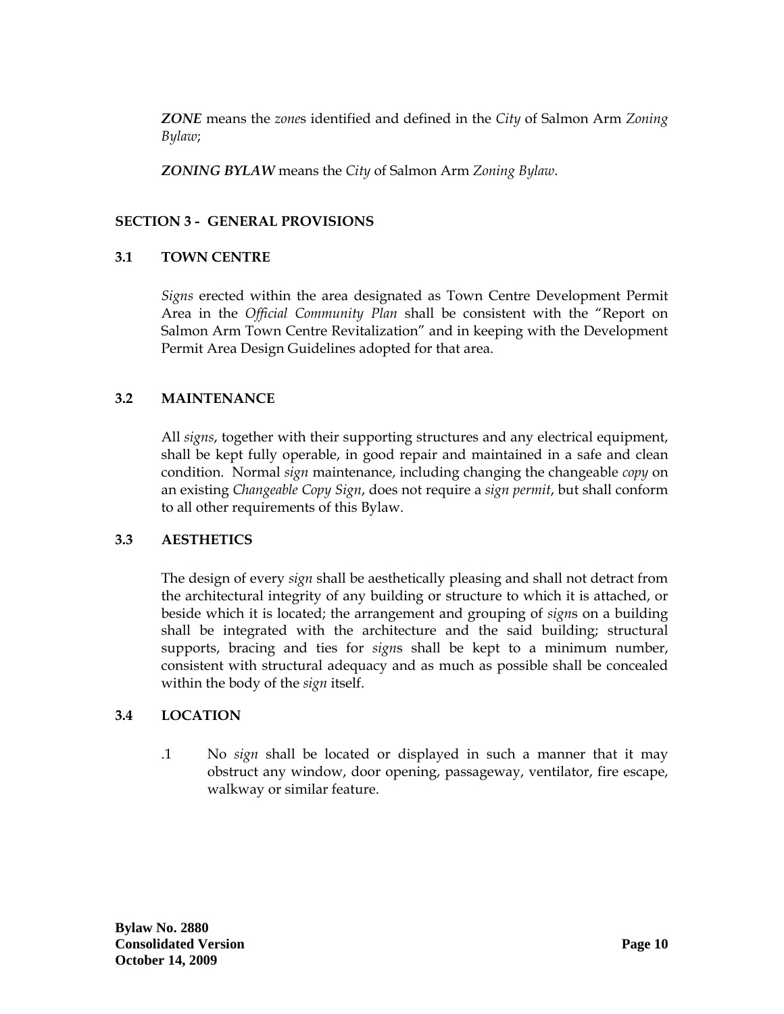<span id="page-11-0"></span>*ZONE* means the *zone*s identified and defined in the *City* of Salmon Arm *Zoning Bylaw*;

*ZONING BYLAW* means the *City* of Salmon Arm *Zoning Bylaw*.

## **SECTION 3 - GENERAL PROVISIONS**

### **3.1 TOWN CENTRE**

*Signs* erected within the area designated as Town Centre Development Permit Area in the *Official Community Plan* shall be consistent with the "Report on Salmon Arm Town Centre Revitalization" and in keeping with the Development Permit Area Design Guidelines adopted for that area.

## **3.2 MAINTENANCE**

All *signs*, together with their supporting structures and any electrical equipment, shall be kept fully operable, in good repair and maintained in a safe and clean condition. Normal *sign* maintenance, including changing the changeable *copy* on an existing *Changeable Copy Sign*, does not require a *sign permit*, but shall conform to all other requirements of this Bylaw.

### **3.3 AESTHETICS**

The design of every *sign* shall be aesthetically pleasing and shall not detract from the architectural integrity of any building or structure to which it is attached, or beside which it is located; the arrangement and grouping of *sign*s on a building shall be integrated with the architecture and the said building; structural supports, bracing and ties for *sign*s shall be kept to a minimum number, consistent with structural adequacy and as much as possible shall be concealed within the body of the *sign* itself.

# **3.4 LOCATION**

.1 No *sign* shall be located or displayed in such a manner that it may obstruct any window, door opening, passageway, ventilator, fire escape, walkway or similar feature.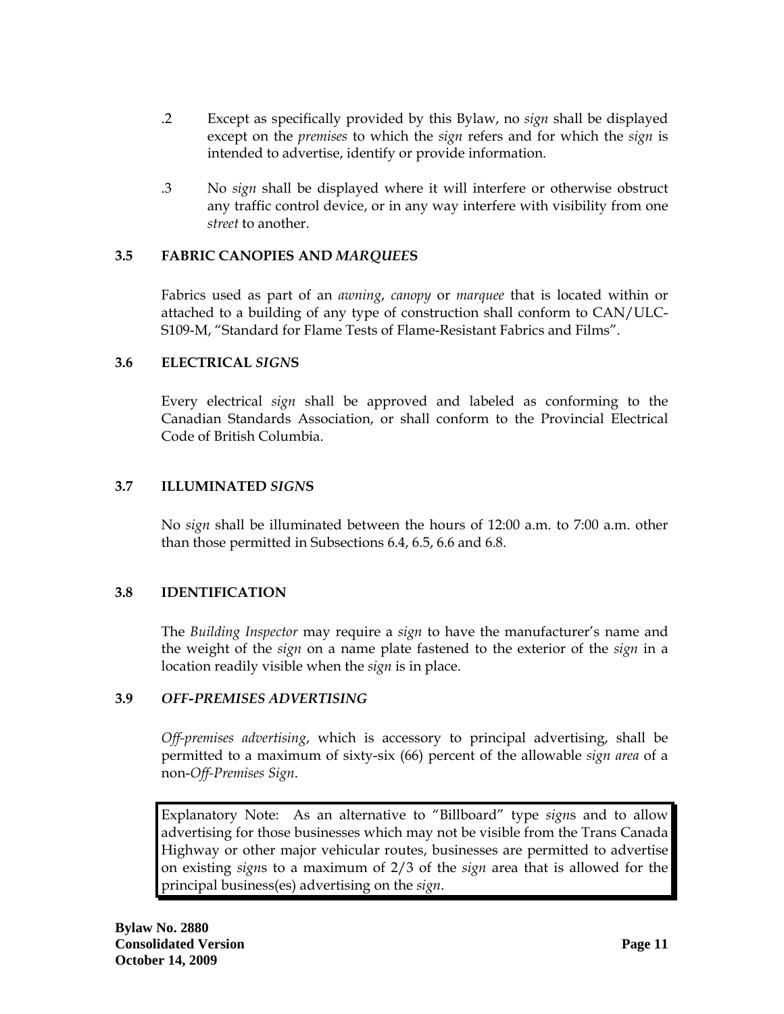- <span id="page-12-0"></span>.2 Except as specifically provided by this Bylaw, no *sign* shall be displayed except on the *premises* to which the *sign* refers and for which the *sign* is intended to advertise, identify or provide information.
- .3 No *sign* shall be displayed where it will interfere or otherwise obstruct any traffic control device, or in any way interfere with visibility from one *street* to another.

## **3.5 FABRIC CANOPIES AND** *MARQUEE***S**

Fabrics used as part of an *awning*, *canopy* or *marquee* that is located within or attached to a building of any type of construction shall conform to CAN/ULC-S109-M, "Standard for Flame Tests of Flame-Resistant Fabrics and Films".

### **3.6 ELECTRICAL** *SIGN***S**

Every electrical *sign* shall be approved and labeled as conforming to the Canadian Standards Association, or shall conform to the Provincial Electrical Code of British Columbia.

## **3.7 ILLUMINATED** *SIGN***S**

 No *sign* shall be illuminated between the hours of 12:00 a.m. to 7:00 a.m. other than those permitted in Subsections 6.4, 6.5, 6.6 and 6.8.

# **3.8 IDENTIFICATION**

The *Building Inspector* may require a *sign* to have the manufacturer's name and the weight of the *sign* on a name plate fastened to the exterior of the *sign* in a location readily visible when the *sign* is in place.

### **3.9** *OFF-PREMISES ADVERTISING*

*Off-premises advertising*, which is accessory to principal advertising, shall be permitted to a maximum of sixty-six (66) percent of the allowable *sign area* of a non-*Off-Premises Sign*.

Explanatory Note: As an alternative to "Billboard" type *sign*s and to allow advertising for those businesses which may not be visible from the Trans Canada Highway or other major vehicular routes, businesses are permitted to advertise on existing *sign*s to a maximum of 2/3 of the *sign* area that is allowed for the principal business(es) advertising on the *sign*.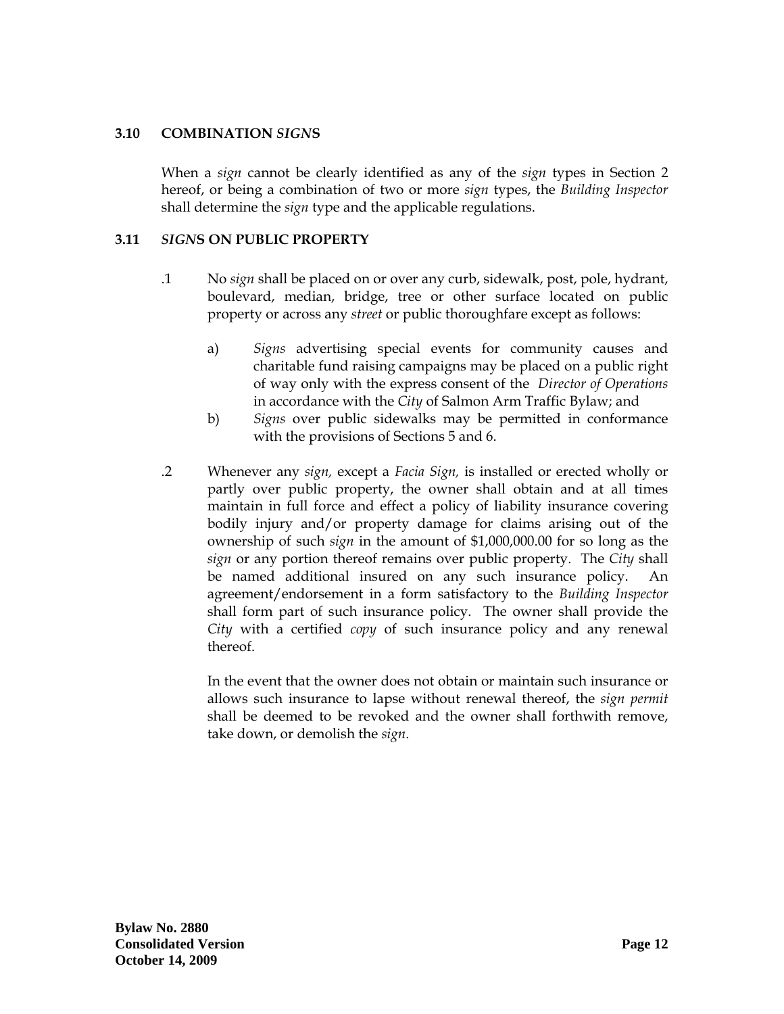### <span id="page-13-0"></span>**3.10 COMBINATION** *SIGN***S**

When a *sign* cannot be clearly identified as any of the *sign* types in Section 2 hereof, or being a combination of two or more *sign* types, the *Building Inspector* shall determine the *sign* type and the applicable regulations.

## **3.11** *SIGN***S ON PUBLIC PROPERTY**

- .1 No *sign* shall be placed on or over any curb, sidewalk, post, pole, hydrant, boulevard, median, bridge, tree or other surface located on public property or across any *street* or public thoroughfare except as follows:
	- a) *Signs* advertising special events for community causes and charitable fund raising campaigns may be placed on a public right of way only with the express consent of the *Director of Operations* in accordance with the *City* of Salmon Arm Traffic Bylaw; and
	- b) *Signs* over public sidewalks may be permitted in conformance with the provisions of Sections 5 and 6.
- .2 Whenever any *sign,* except a *Facia Sign,* is installed or erected wholly or partly over public property, the owner shall obtain and at all times maintain in full force and effect a policy of liability insurance covering bodily injury and/or property damage for claims arising out of the ownership of such *sign* in the amount of \$1,000,000.00 for so long as the *sign* or any portion thereof remains over public property. The *City* shall be named additional insured on any such insurance policy. An agreement/endorsement in a form satisfactory to the *Building Inspector* shall form part of such insurance policy. The owner shall provide the *City* with a certified *copy* of such insurance policy and any renewal thereof.

In the event that the owner does not obtain or maintain such insurance or allows such insurance to lapse without renewal thereof, the *sign permit* shall be deemed to be revoked and the owner shall forthwith remove, take down, or demolish the *sign*.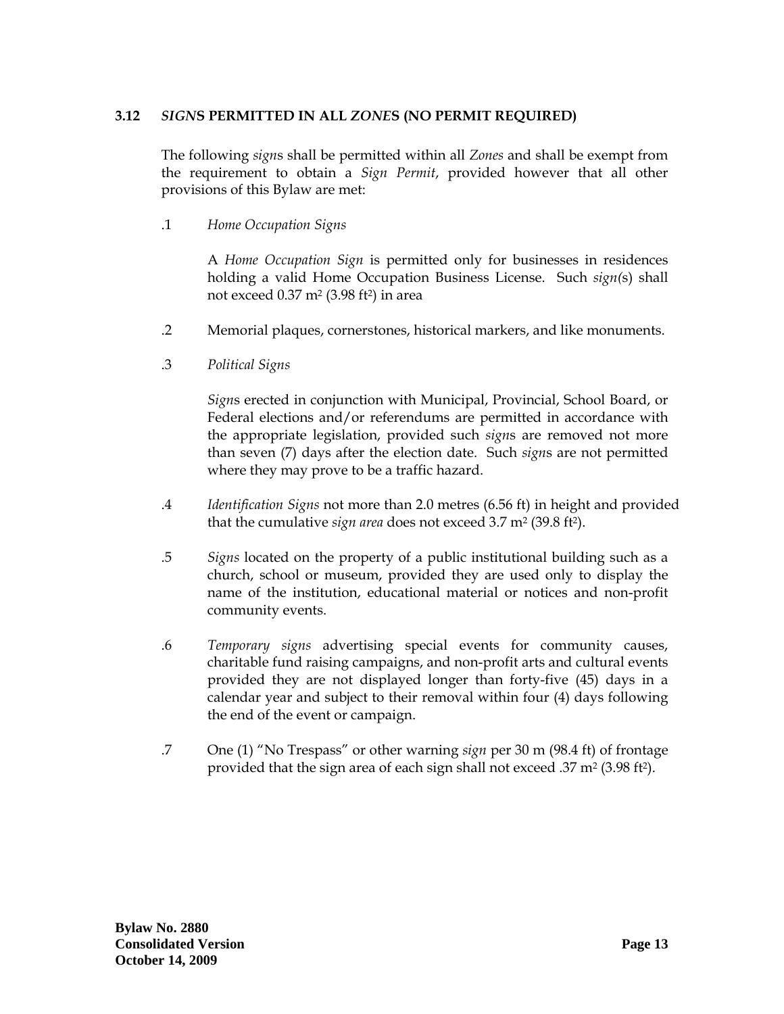## <span id="page-14-0"></span>**3.12** *SIGN***S PERMITTED IN ALL** *ZONE***S (NO PERMIT REQUIRED)**

The following *sign*s shall be permitted within all *Zones* and shall be exempt from the requirement to obtain a *Sign Permit*, provided however that all other provisions of this Bylaw are met:

.1 *Home Occupation Signs*

A *Home Occupation Sign* is permitted only for businesses in residences holding a valid Home Occupation Business License. Such *sign(*s) shall not exceed 0.37 m2 (3.98 ft2) in area

- .2 Memorial plaques, cornerstones, historical markers, and like monuments.
- .3 *Political Signs*

*Sign*s erected in conjunction with Municipal, Provincial, School Board, or Federal elections and/or referendums are permitted in accordance with the appropriate legislation, provided such *sign*s are removed not more than seven (7) days after the election date. Such *sign*s are not permitted where they may prove to be a traffic hazard.

- .4 *Identification Signs* not more than 2.0 metres (6.56 ft) in height and provided that the cumulative *sign area* does not exceed 3.7 m<sup>2</sup> (39.8 ft<sup>2</sup>).
- .5 *Signs* located on the property of a public institutional building such as a church, school or museum, provided they are used only to display the name of the institution, educational material or notices and non-profit community events.
- .6 *Temporary signs* advertising special events for community causes, charitable fund raising campaigns, and non-profit arts and cultural events provided they are not displayed longer than forty-five (45) days in a calendar year and subject to their removal within four (4) days following the end of the event or campaign.
- .7 One (1) "No Trespass" or other warning *sign* per 30 m (98.4 ft) of frontage provided that the sign area of each sign shall not exceed .37 m2 (3.98 ft2).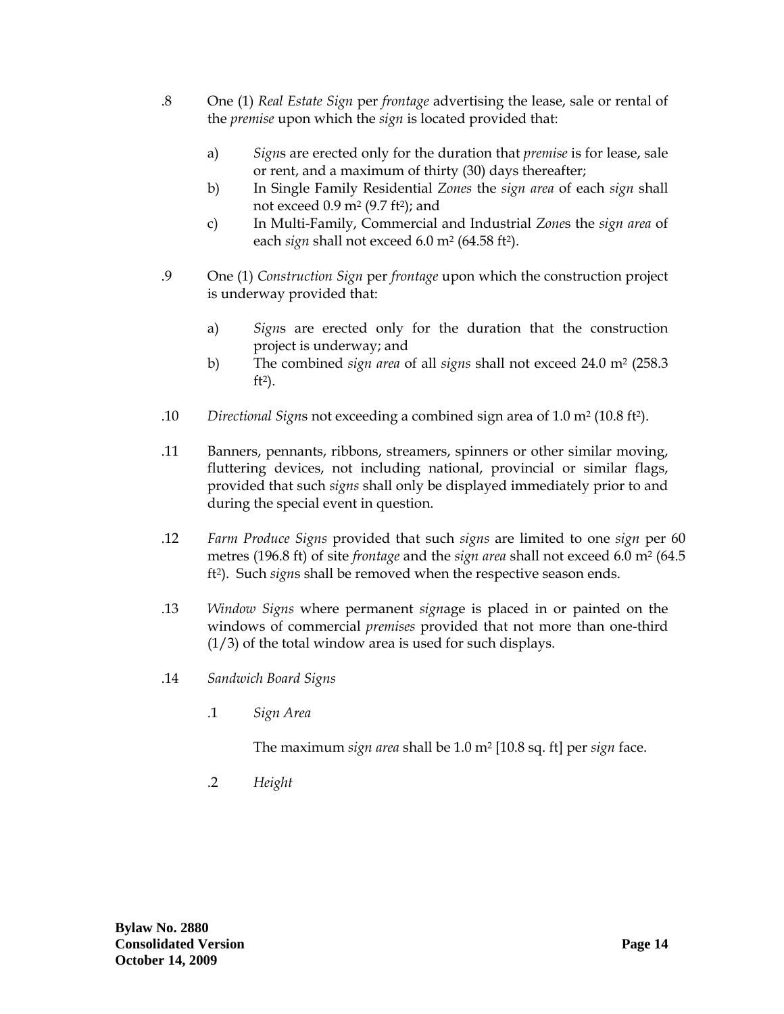- .8 One (1) *Real Estate Sign* per *frontage* advertising the lease, sale or rental of the *premise* upon which the *sign* is located provided that:
	- a) *Sign*s are erected only for the duration that *premise* is for lease, sale or rent, and a maximum of thirty (30) days thereafter;
	- b) In Single Family Residential *Zones* the *sign area* of each *sign* shall not exceed  $0.9$  m<sup>2</sup> (9.7 ft<sup>2</sup>); and
	- c) In Multi-Family, Commercial and Industrial *Zone*s the *sign area* of each *sign* shall not exceed 6.0 m<sup>2</sup> (64.58 ft<sup>2</sup>).
- .9 One (1) *Construction Sign* per *frontage* upon which the construction project is underway provided that:
	- a) *Sign*s are erected only for the duration that the construction project is underway; and
	- b) The combined *sign area* of all *signs* shall not exceed 24.0 m2 (258.3 ft2).
- .10 *Directional Sign*s not exceeding a combined sign area of 1.0 m2 (10.8 ft2).
- .11 Banners, pennants, ribbons, streamers, spinners or other similar moving, fluttering devices, not including national, provincial or similar flags, provided that such *signs* shall only be displayed immediately prior to and during the special event in question.
- .12 *Farm Produce Signs* provided that such *signs* are limited to one *sign* per 60 metres (196.8 ft) of site *frontage* and the *sign area* shall not exceed 6.0 m2 (64.5 ft2). Such *sign*s shall be removed when the respective season ends.
- .13 *Window Signs* where permanent *sign*age is placed in or painted on the windows of commercial *premises* provided that not more than one-third (1/3) of the total window area is used for such displays.
- .14 *Sandwich Board Signs* 
	- .1 *Sign Area*

The maximum *sign area* shall be 1.0 m2 [10.8 sq. ft] per *sign* face.

.2 *Height*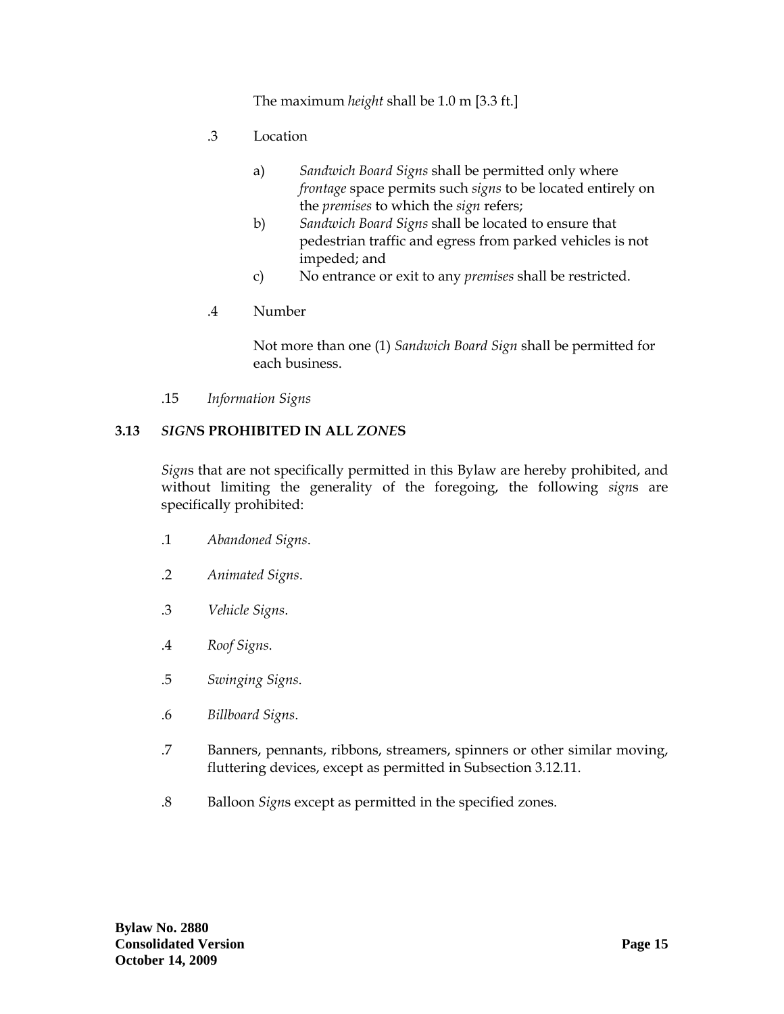The maximum *height* shall be 1.0 m [3.3 ft.]

- <span id="page-16-0"></span>.3 Location
	- a) *Sandwich Board Signs* shall be permitted only where *frontage* space permits such *signs* to be located entirely on the *premises* to which the *sign* refers;
	- b) *Sandwich Board Signs* shall be located to ensure that pedestrian traffic and egress from parked vehicles is not impeded; and
	- c) No entrance or exit to any *premises* shall be restricted.
- .4 Number

 Not more than one (1) *Sandwich Board Sign* shall be permitted for each business.

.15 *Information Signs* 

#### **3.13** *SIGN***S PROHIBITED IN ALL** *ZONE***S**

*Sign*s that are not specifically permitted in this Bylaw are hereby prohibited, and without limiting the generality of the foregoing, the following *sign*s are specifically prohibited:

- .1 *Abandoned Signs*.
- .2 *Animated Signs*.
- .3 *Vehicle Signs*.
- .4 *Roof Signs*.
- .5 *Swinging Signs*.
- .6 *Billboard Signs*.
- .7 Banners, pennants, ribbons, streamers, spinners or other similar moving, fluttering devices, except as permitted in Subsection 3.12.11.
- .8 Balloon *Sign*s except as permitted in the specified zones.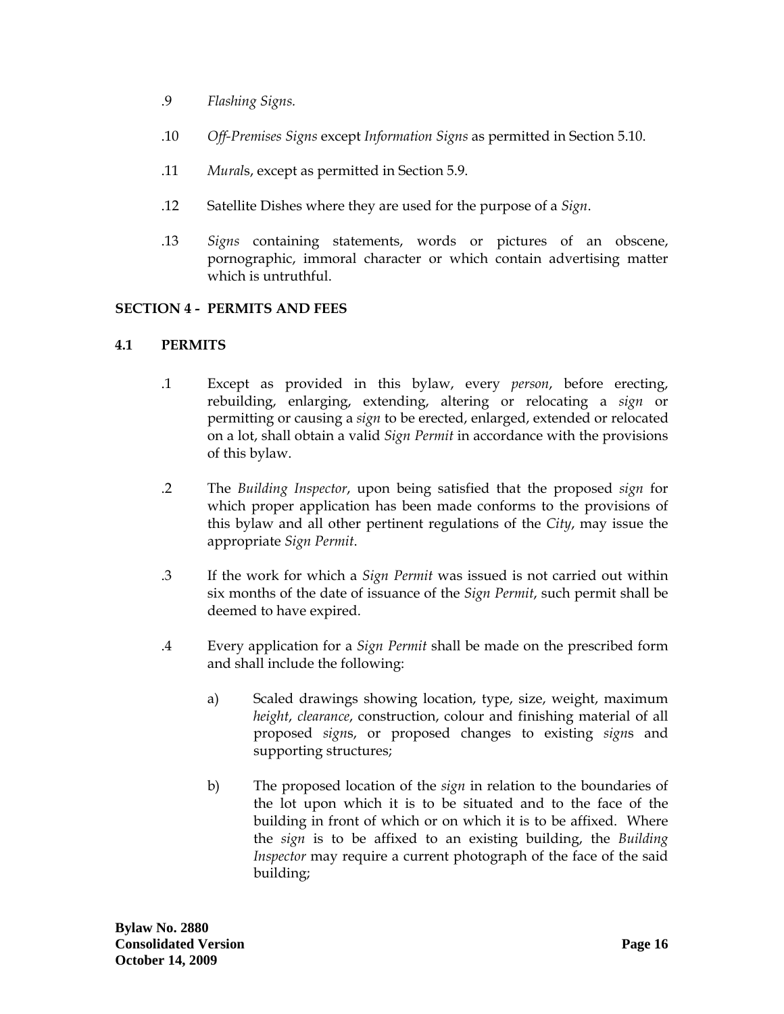- <span id="page-17-0"></span>.9 *Flashing Signs.*
- .10 *Off-Premises Signs* except *Information Signs* as permitted in Section 5.10.
- .11 *Mural*s, except as permitted in Section 5.9.
- .12 Satellite Dishes where they are used for the purpose of a *Sign*.
- .13 *Signs* containing statements, words or pictures of an obscene, pornographic, immoral character or which contain advertising matter which is untruthful.

### **SECTION 4 - PERMITS AND FEES**

### **4.1 PERMITS**

- .1 Except as provided in this bylaw, every *person*, before erecting, rebuilding, enlarging, extending, altering or relocating a *sign* or permitting or causing a *sign* to be erected, enlarged, extended or relocated on a lot, shall obtain a valid *Sign Permit* in accordance with the provisions of this bylaw.
- .2 The *Building Inspector*, upon being satisfied that the proposed *sign* for which proper application has been made conforms to the provisions of this bylaw and all other pertinent regulations of the *City*, may issue the appropriate *Sign Permit*.
- .3 If the work for which a *Sign Permit* was issued is not carried out within six months of the date of issuance of the *Sign Permit*, such permit shall be deemed to have expired.
- .4 Every application for a *Sign Permit* shall be made on the prescribed form and shall include the following:
	- a) Scaled drawings showing location, type, size, weight, maximum *height*, *clearance*, construction, colour and finishing material of all proposed *sign*s, or proposed changes to existing *sign*s and supporting structures;
	- b) The proposed location of the *sign* in relation to the boundaries of the lot upon which it is to be situated and to the face of the building in front of which or on which it is to be affixed. Where the *sign* is to be affixed to an existing building, the *Building Inspector* may require a current photograph of the face of the said building;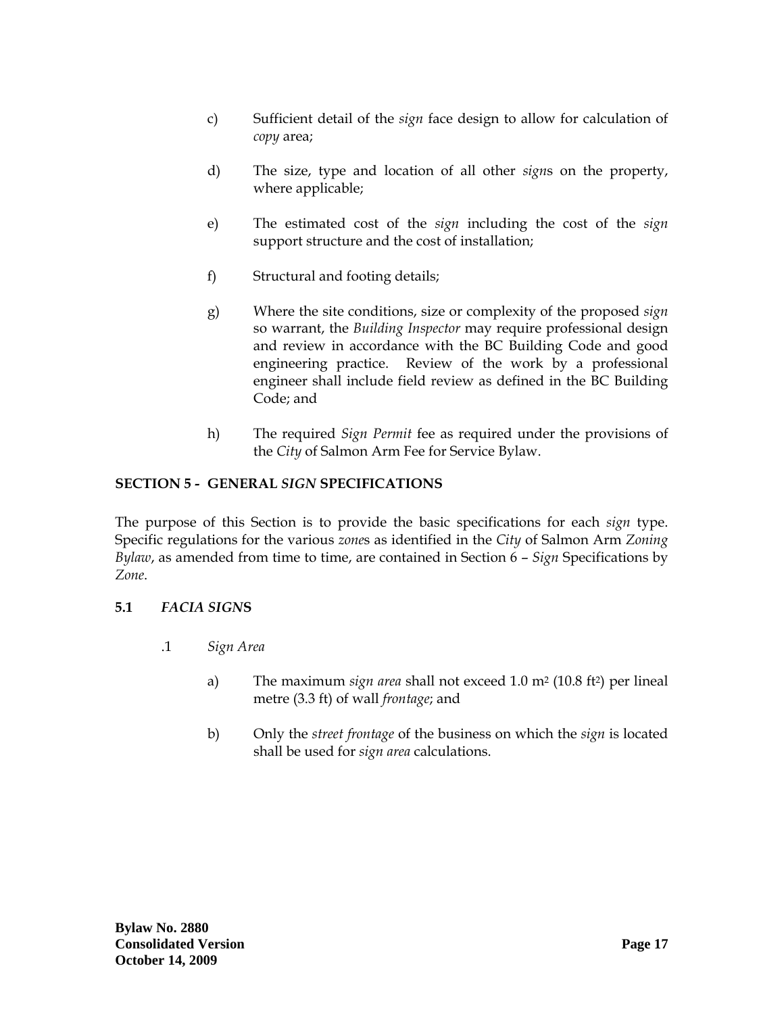- <span id="page-18-0"></span>c) Sufficient detail of the *sign* face design to allow for calculation of *copy* area;
- d) The size, type and location of all other *sign*s on the property, where applicable;
- e) The estimated cost of the *sign* including the cost of the *sign*  support structure and the cost of installation;
- f) Structural and footing details;
- g) Where the site conditions, size or complexity of the proposed *sign*  so warrant, the *Building Inspector* may require professional design and review in accordance with the BC Building Code and good engineering practice. Review of the work by a professional engineer shall include field review as defined in the BC Building Code; and
- h) The required *Sign Permit* fee as required under the provisions of the *City* of Salmon Arm Fee for Service Bylaw.

# **SECTION 5 - GENERAL** *SIGN* **SPECIFICATIONS**

The purpose of this Section is to provide the basic specifications for each *sign* type. Specific regulations for the various *zone*s as identified in the *City* of Salmon Arm *Zoning Bylaw*, as amended from time to time, are contained in Section 6 – *Sign* Specifications by *Zone*.

### **5.1** *FACIA SIGN***S**

- .1 *Sign Area*
	- a) The maximum *sign area* shall not exceed 1.0 m2 (10.8 ft2) per lineal metre (3.3 ft) of wall *frontage*; and
	- b) Only the *street frontage* of the business on which the *sign* is located shall be used for *sign area* calculations.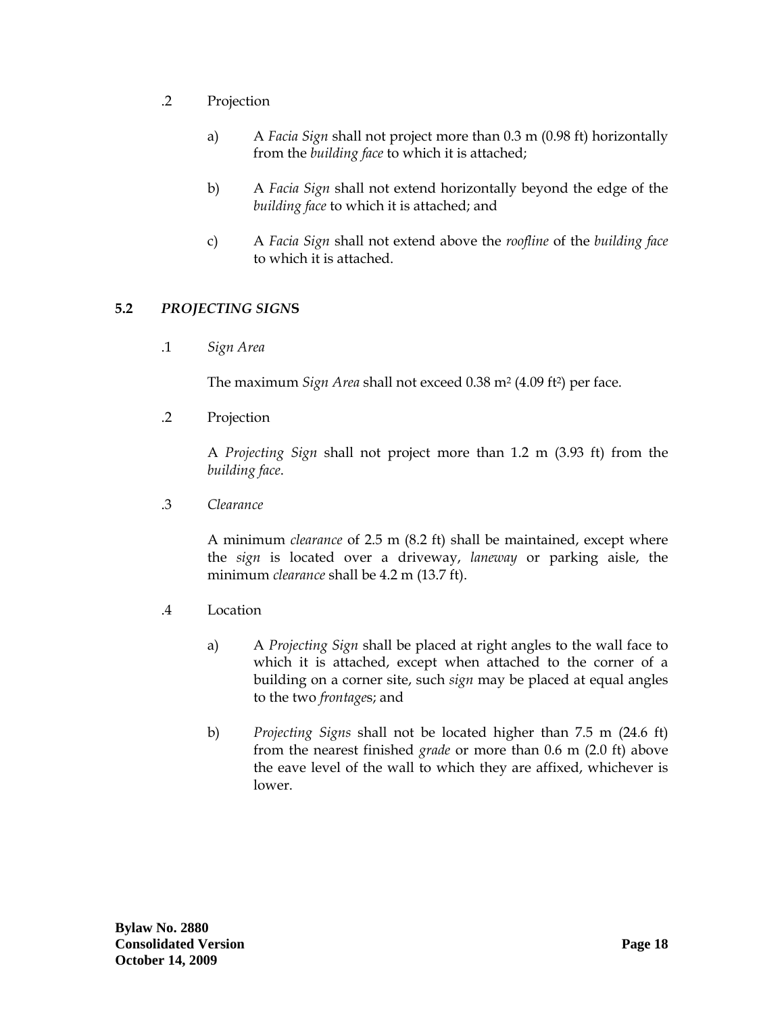- <span id="page-19-0"></span>.2 Projection
	- a) A *Facia Sign* shall not project more than 0.3 m (0.98 ft) horizontally from the *building face* to which it is attached;
	- b) A *Facia Sign* shall not extend horizontally beyond the edge of the *building face* to which it is attached; and
	- c) A *Facia Sign* shall not extend above the *roofline* of the *building face* to which it is attached.

## **5.2** *PROJECTING SIGN***S**

.1 *Sign Area*

The maximum *Sign Area* shall not exceed 0.38 m2 (4.09 ft2) per face.

.2 Projection

A *Projecting Sign* shall not project more than 1.2 m (3.93 ft) from the *building face*.

.3 *Clearance*

A minimum *clearance* of 2.5 m (8.2 ft) shall be maintained, except where the *sign* is located over a driveway, *laneway* or parking aisle, the minimum *clearance* shall be 4.2 m (13.7 ft).

- .4 Location
	- a) A *Projecting Sign* shall be placed at right angles to the wall face to which it is attached, except when attached to the corner of a building on a corner site, such *sign* may be placed at equal angles to the two *frontage*s; and
	- b) *Projecting Signs* shall not be located higher than 7.5 m (24.6 ft) from the nearest finished *grade* or more than 0.6 m (2.0 ft) above the eave level of the wall to which they are affixed, whichever is lower.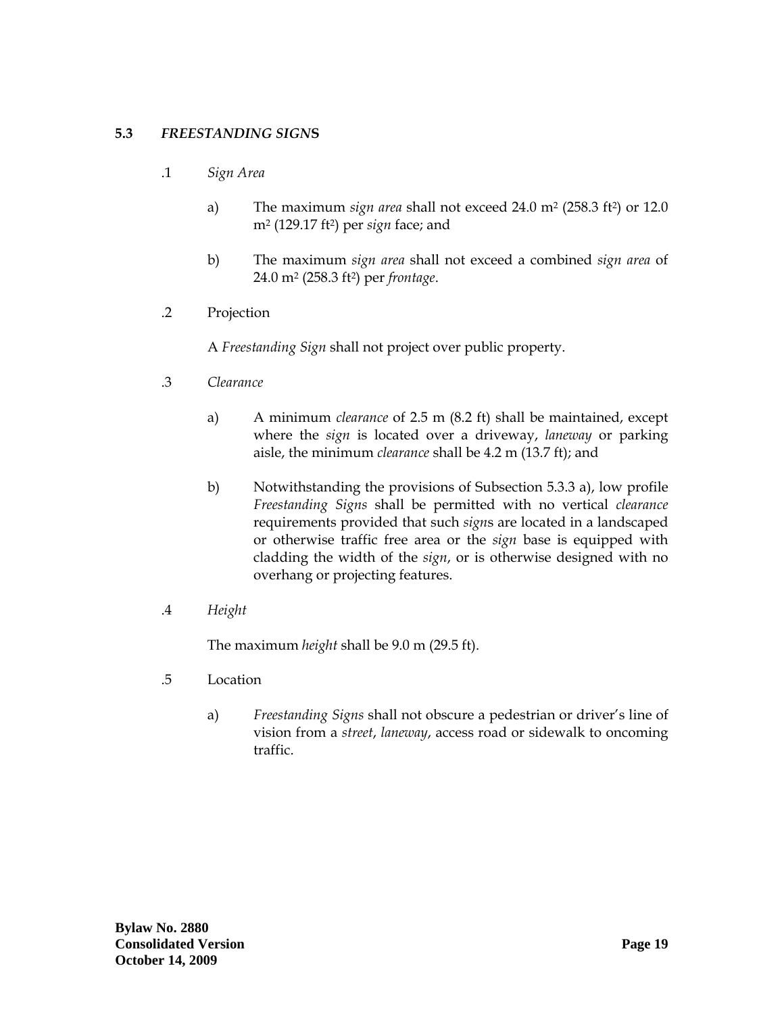## <span id="page-20-0"></span>**5.3** *FREESTANDING SIGN***S**

- .1 *Sign Area*
	- a) The maximum *sign area* shall not exceed 24.0 m2 (258.3 ft2) or 12.0 m2 (129.17 ft2) per *sign* face; and
	- b) The maximum *sign area* shall not exceed a combined *sign area* of 24.0 m2 (258.3 ft2) per *frontage*.
- .2 Projection

A *Freestanding Sign* shall not project over public property.

- .3 *Clearance*
	- a) A minimum *clearance* of 2.5 m (8.2 ft) shall be maintained, except where the *sign* is located over a driveway, *laneway* or parking aisle, the minimum *clearance* shall be 4.2 m (13.7 ft); and
	- b) Notwithstanding the provisions of Subsection 5.3.3 a), low profile *Freestanding Signs* shall be permitted with no vertical *clearance* requirements provided that such *sign*s are located in a landscaped or otherwise traffic free area or the *sign* base is equipped with cladding the width of the *sign*, or is otherwise designed with no overhang or projecting features.
- .4 *Height*

The maximum *height* shall be 9.0 m (29.5 ft).

- .5 Location
	- a) *Freestanding Signs* shall not obscure a pedestrian or driver's line of vision from a *street*, *laneway*, access road or sidewalk to oncoming traffic.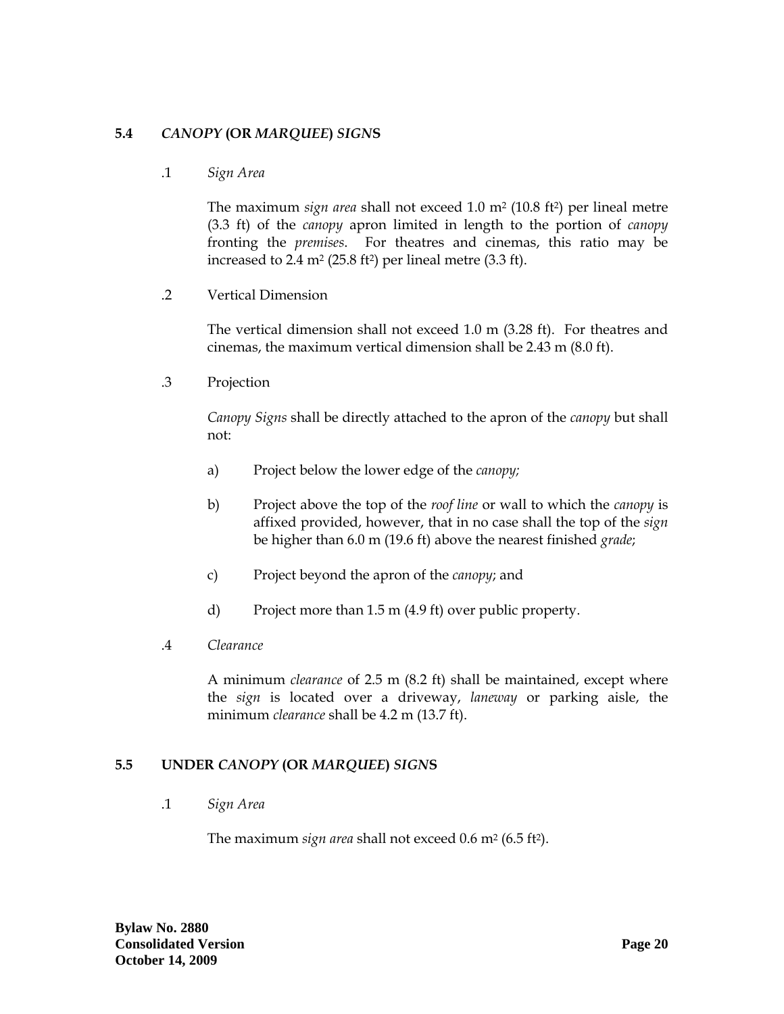## <span id="page-21-0"></span>**5.4** *CANOPY* **(OR** *MARQUEE***)** *SIGN***S**

.1 *Sign Area*

The maximum *sign area* shall not exceed 1.0 m2 (10.8 ft2) per lineal metre (3.3 ft) of the *canopy* apron limited in length to the portion of *canopy* fronting the *premises*. For theatres and cinemas, this ratio may be increased to 2.4  $m^2$  (25.8 ft<sup>2</sup>) per lineal metre (3.3 ft).

.2 Vertical Dimension

The vertical dimension shall not exceed 1.0 m (3.28 ft). For theatres and cinemas, the maximum vertical dimension shall be 2.43 m (8.0 ft).

.3 Projection

*Canopy Signs* shall be directly attached to the apron of the *canopy* but shall not:

- a) Project below the lower edge of the *canopy;*
- b) Project above the top of the *roof line* or wall to which the *canopy* is affixed provided, however, that in no case shall the top of the *sign*  be higher than 6.0 m (19.6 ft) above the nearest finished *grade*;
- c) Project beyond the apron of the *canopy*; and
- d) Project more than 1.5 m (4.9 ft) over public property.
- .4 *Clearance*

A minimum *clearance* of 2.5 m (8.2 ft) shall be maintained, except where the *sign* is located over a driveway, *laneway* or parking aisle, the minimum *clearance* shall be 4.2 m (13.7 ft).

### **5.5 UNDER** *CANOPY* **(OR** *MARQUEE***)** *SIGN***S**

.1 *Sign Area*

The maximum *sign area* shall not exceed 0.6 m<sup>2</sup> (6.5 ft<sup>2</sup>).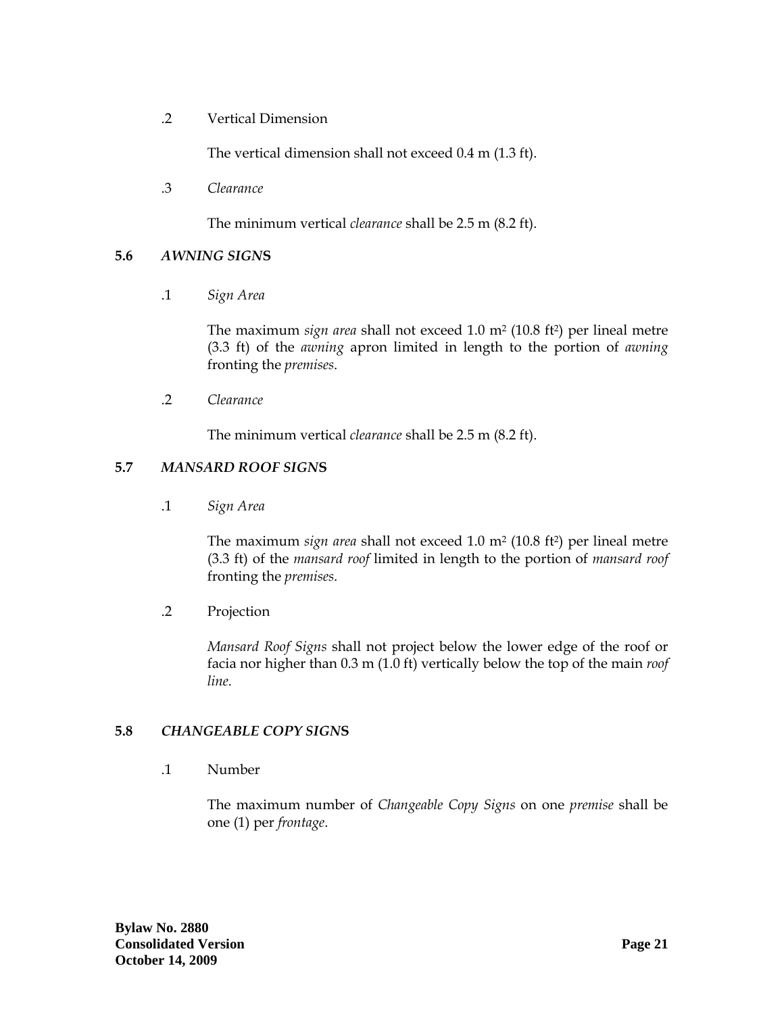<span id="page-22-0"></span>.2 Vertical Dimension

The vertical dimension shall not exceed 0.4 m (1.3 ft).

.3 *Clearance*

The minimum vertical *clearance* shall be 2.5 m (8.2 ft).

#### **5.6** *AWNING SIGN***S**

.1 *Sign Area*

The maximum *sign area* shall not exceed 1.0 m2 (10.8 ft2) per lineal metre (3.3 ft) of the *awning* apron limited in length to the portion of *awning* fronting the *premises*.

.2 *Clearance*

The minimum vertical *clearance* shall be 2.5 m (8.2 ft).

#### **5.7** *MANSARD ROOF SIGN***S**

.1 *Sign Area*

The maximum *sign area* shall not exceed 1.0 m2 (10.8 ft2) per lineal metre (3.3 ft) of the *mansard roof* limited in length to the portion of *mansard roof* fronting the *premises*.

.2 Projection

*Mansard Roof Signs* shall not project below the lower edge of the roof or facia nor higher than 0.3 m (1.0 ft) vertically below the top of the main *roof line.* 

### **5.8** *CHANGEABLE COPY SIGN***S**

.1 Number

The maximum number of *Changeable Copy Signs* on one *premise* shall be one (1) per *frontage*.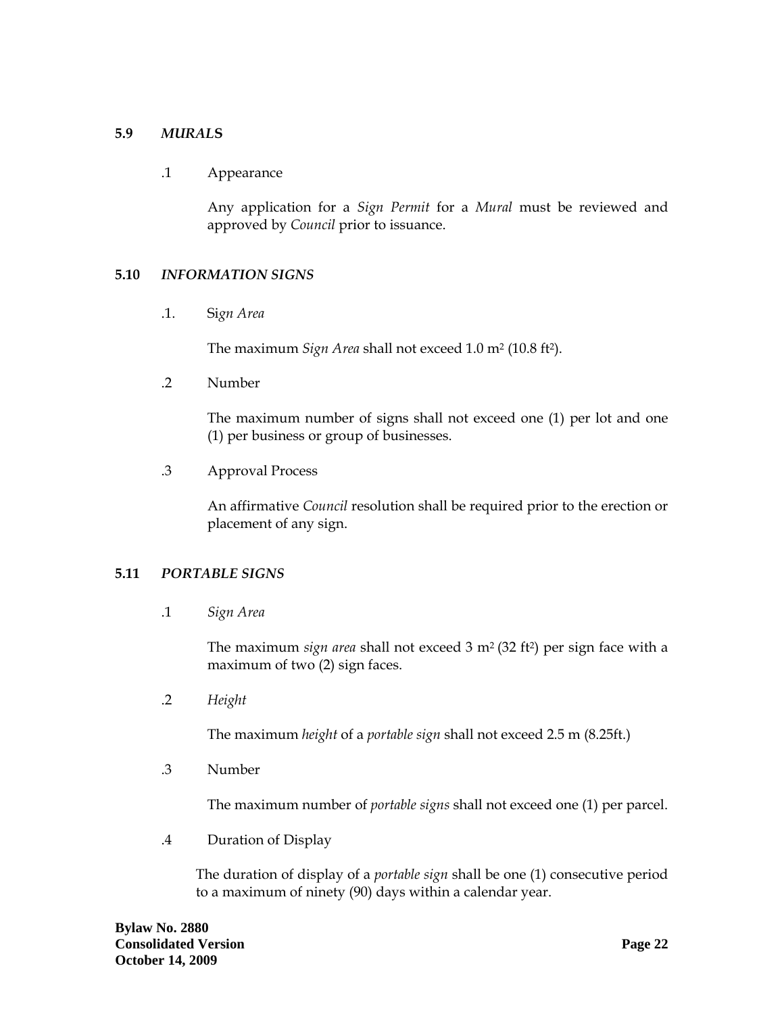#### <span id="page-23-0"></span>**5.9** *MURAL***S**

#### .1 Appearance

Any application for a *Sign Permit* for a *Mural* must be reviewed and approved by *Council* prior to issuance.

#### **5.10** *INFORMATION SIGNS*

.1. Si*gn Area*

The maximum *Sign Area* shall not exceed 1.0 m2 (10.8 ft2).

.2 Number

 The maximum number of signs shall not exceed one (1) per lot and one (1) per business or group of businesses.

.3 Approval Process

 An affirmative *Council* resolution shall be required prior to the erection or placement of any sign.

### **5.11** *PORTABLE SIGNS*

.1 *Sign Area* 

 The maximum *sign area* shall not exceed 3 m2 (32 ft2) per sign face with a maximum of two (2) sign faces.

.2 *Height* 

The maximum *height* of a *portable sign* shall not exceed 2.5 m (8.25ft.)

.3 Number

The maximum number of *portable signs* shall not exceed one (1) per parcel.

.4 Duration of Display

The duration of display of a *portable sign* shall be one (1) consecutive period to a maximum of ninety (90) days within a calendar year.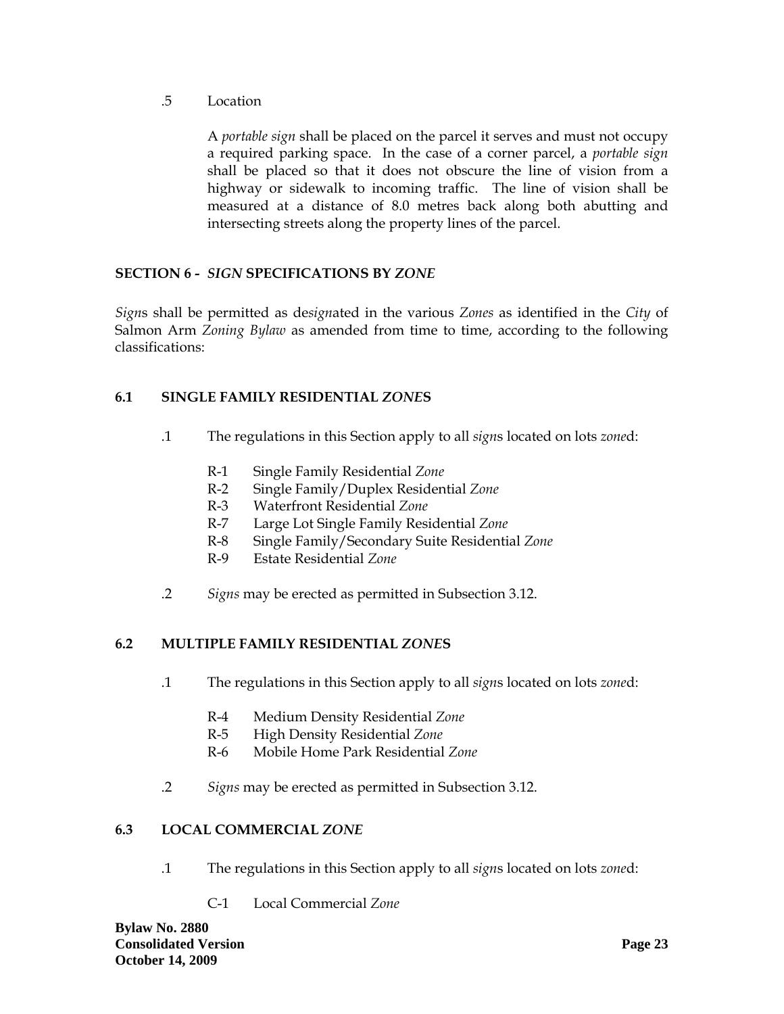<span id="page-24-0"></span>.5 Location

A *portable sign* shall be placed on the parcel it serves and must not occupy a required parking space. In the case of a corner parcel, a *portable sign* shall be placed so that it does not obscure the line of vision from a highway or sidewalk to incoming traffic. The line of vision shall be measured at a distance of 8.0 metres back along both abutting and intersecting streets along the property lines of the parcel.

# **SECTION 6 -** *SIGN* **SPECIFICATIONS BY** *ZONE*

*Sign*s shall be permitted as de*sign*ated in the various *Zones* as identified in the *City* of Salmon Arm *Zoning Bylaw* as amended from time to time, according to the following classifications:

# **6.1 SINGLE FAMILY RESIDENTIAL** *ZONE***S**

- .1 The regulations in this Section apply to all *sign*s located on lots *zone*d:
	- R-1 Single Family Residential *Zone*
	- R-2 Single Family/Duplex Residential *Zone*
	- R-3 Waterfront Residential *Zone*
	- R-7 Large Lot Single Family Residential *Zone*
	- R-8 Single Family/Secondary Suite Residential *Zone*
	- R-9 Estate Residential *Zone*
- .2 *Signs* may be erected as permitted in Subsection 3.12.

# **6.2 MULTIPLE FAMILY RESIDENTIAL** *ZONE***S**

- .1 The regulations in this Section apply to all *sign*s located on lots *zone*d:
	- R-4 Medium Density Residential *Zone*
	- R-5 High Density Residential *Zone*
	- R-6 Mobile Home Park Residential *Zone*
- .2 *Signs* may be erected as permitted in Subsection 3.12.

### **6.3 LOCAL COMMERCIAL** *ZONE*

- .1 The regulations in this Section apply to all *sign*s located on lots *zone*d:
	- C-1 Local Commercial *Zone*

**Bylaw No. 2880 Consolidated Version Page 23 Page 23 October 14, 2009**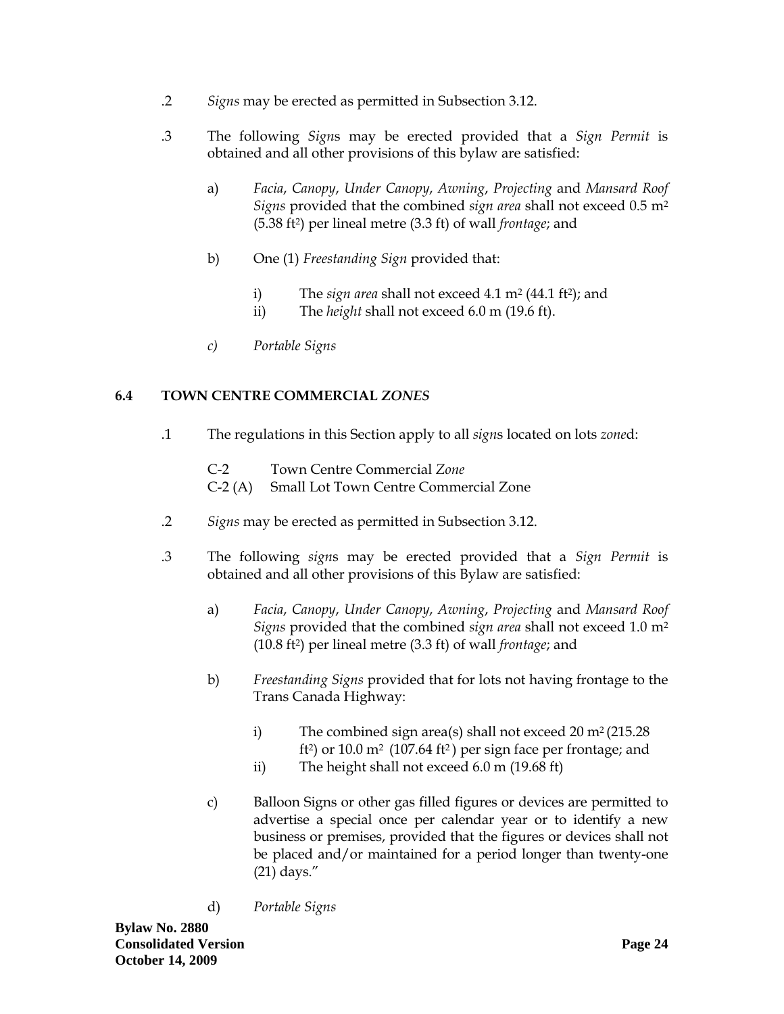- <span id="page-25-0"></span>.2 *Signs* may be erected as permitted in Subsection 3.12.
- .3 The following *Sign*s may be erected provided that a *Sign Permit* is obtained and all other provisions of this bylaw are satisfied:
	- a) *Facia*, *Canopy*, *Under Canopy*, *Awning*, *Projecting* and *Mansard Roof Signs* provided that the combined *sign area* shall not exceed 0.5 m2 (5.38 ft2) per lineal metre (3.3 ft) of wall *frontage*; and
	- b) One (1) *Freestanding Sign* provided that:
		- i) The *sign area* shall not exceed 4.1 m<sup>2</sup> (44.1 ft<sup>2</sup>); and
		- ii) The *height* shall not exceed 6.0 m (19.6 ft).
	- *c) Portable Signs*

## **6.4 TOWN CENTRE COMMERCIAL** *ZONES*

- .1 The regulations in this Section apply to all *sign*s located on lots *zone*d:
	- C-2 Town Centre Commercial *Zone*
	- C-2 (A) Small Lot Town Centre Commercial Zone
- .2 *Signs* may be erected as permitted in Subsection 3.12.
- .3 The following *sign*s may be erected provided that a *Sign Permit* is obtained and all other provisions of this Bylaw are satisfied:
	- a) *Facia*, *Canopy*, *Under Canopy*, *Awning*, *Projecting* and *Mansard Roof Signs* provided that the combined *sign area* shall not exceed 1.0 m2 (10.8 ft2) per lineal metre (3.3 ft) of wall *frontage*; and
	- b) *Freestanding Signs* provided that for lots not having frontage to the Trans Canada Highway:
		- i) The combined sign area(s) shall not exceed  $20 \text{ m}^2 (215.28)$ ft<sup>2</sup>) or 10.0 m<sup>2</sup> (107.64 ft<sup>2</sup>) per sign face per frontage; and
		- ii) The height shall not exceed 6.0 m (19.68 ft)
	- c) Balloon Signs or other gas filled figures or devices are permitted to advertise a special once per calendar year or to identify a new business or premises, provided that the figures or devices shall not be placed and/or maintained for a period longer than twenty-one (21) days."
	- d) *Portable Signs*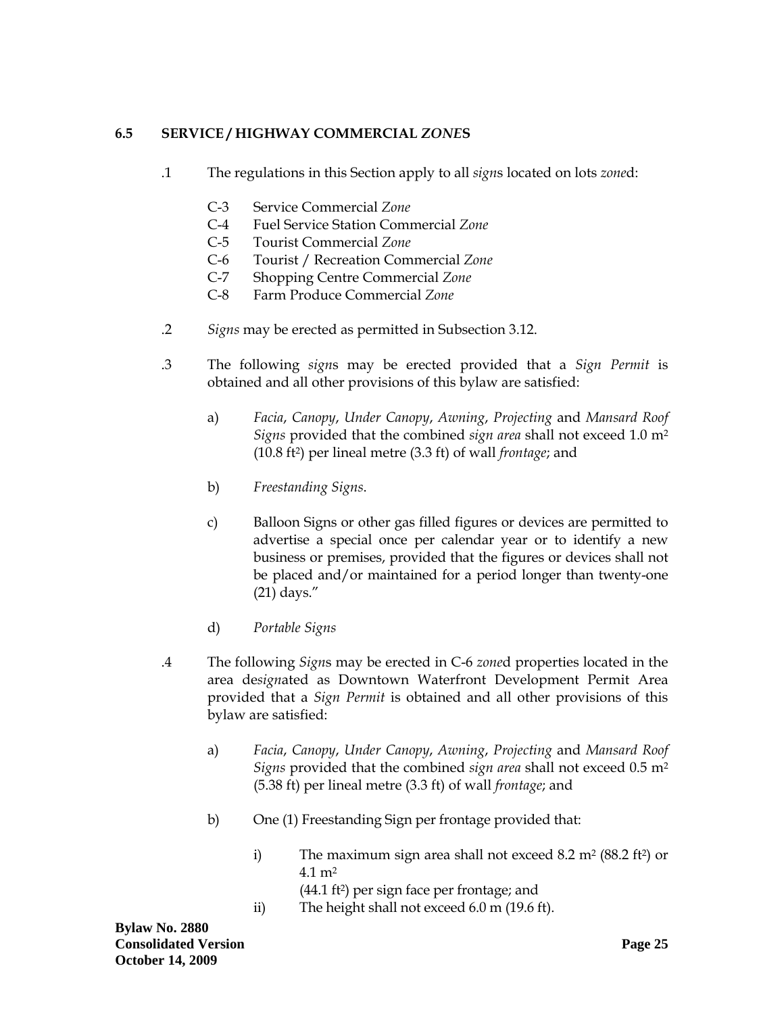# <span id="page-26-0"></span>**6.5 SERVICE / HIGHWAY COMMERCIAL** *ZONE***S**

- .1 The regulations in this Section apply to all *sign*s located on lots *zone*d:
	- C-3 Service Commercial *Zone*
	- C-4 Fuel Service Station Commercial *Zone*
	- C-5 Tourist Commercial *Zone*
	- C-6 Tourist / Recreation Commercial *Zone*
	- C-7 Shopping Centre Commercial *Zone*
	- C-8 Farm Produce Commercial *Zone*
- .2 *Signs* may be erected as permitted in Subsection 3.12.
- .3 The following *sign*s may be erected provided that a *Sign Permit* is obtained and all other provisions of this bylaw are satisfied:
	- a) *Facia*, *Canopy*, *Under Canopy*, *Awning*, *Projecting* and *Mansard Roof Signs* provided that the combined *sign area* shall not exceed 1.0 m2 (10.8 ft2) per lineal metre (3.3 ft) of wall *frontage*; and
	- b) *Freestanding Signs*.
	- c) Balloon Signs or other gas filled figures or devices are permitted to advertise a special once per calendar year or to identify a new business or premises, provided that the figures or devices shall not be placed and/or maintained for a period longer than twenty-one (21) days."
	- d) *Portable Signs*
- .4 The following *Sign*s may be erected in C-6 *zone*d properties located in the area de*sign*ated as Downtown Waterfront Development Permit Area provided that a *Sign Permit* is obtained and all other provisions of this bylaw are satisfied:
	- a) *Facia*, *Canopy*, *Under Canopy*, *Awning*, *Projecting* and *Mansard Roof Signs* provided that the combined *sign area* shall not exceed 0.5 m2 (5.38 ft) per lineal metre (3.3 ft) of wall *frontage*; and
	- b) One (1) Freestanding Sign per frontage provided that:
		- i) The maximum sign area shall not exceed  $8.2 \text{ m}^2 (88.2 \text{ ft}^2)$  or 4.1 m2
			- (44.1 ft2) per sign face per frontage; and
		- ii) The height shall not exceed 6.0 m (19.6 ft).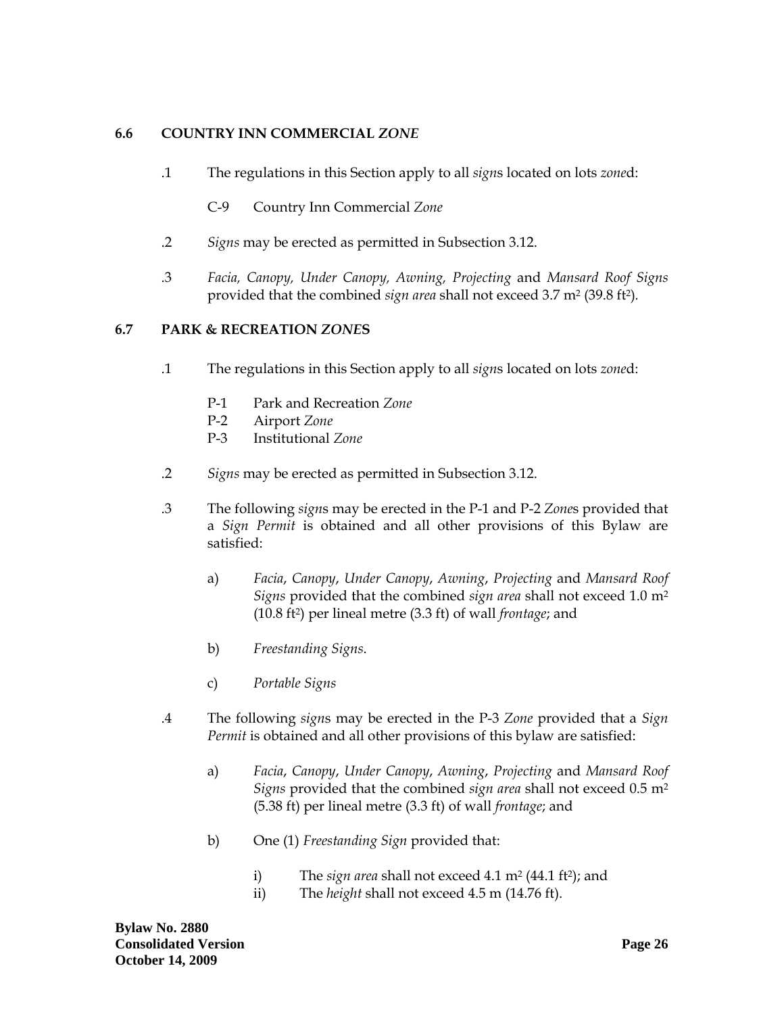## <span id="page-27-0"></span>**6.6 COUNTRY INN COMMERCIAL** *ZONE*

- .1 The regulations in this Section apply to all *sign*s located on lots *zone*d:
	- C-9 Country Inn Commercial *Zone*
- .2 *Signs* may be erected as permitted in Subsection 3.12.
- .3 *Facia, Canopy, Under Canopy, Awning, Projecting* and *Mansard Roof Signs* provided that the combined *sign area* shall not exceed 3.7 m2 (39.8 ft2)*.*

### **6.7 PARK & RECREATION** *ZONE***S**

- .1 The regulations in this Section apply to all *sign*s located on lots *zone*d:
	- P-1 Park and Recreation *Zone*
	- P-2 Airport *Zone*
	- P-3 Institutional *Zone*
- .2 *Signs* may be erected as permitted in Subsection 3.12.
- .3 The following *sign*s may be erected in the P-1 and P-2 *Zone*s provided that a *Sign Permit* is obtained and all other provisions of this Bylaw are satisfied:
	- a) *Facia*, *Canopy*, *Under Canopy*, *Awning*, *Projecting* and *Mansard Roof Signs* provided that the combined *sign area* shall not exceed 1.0 m2 (10.8 ft2) per lineal metre (3.3 ft) of wall *frontage*; and
	- b) *Freestanding Signs*.
	- c) *Portable Signs*
- .4 The following *sign*s may be erected in the P-3 *Zone* provided that a *Sign Permit* is obtained and all other provisions of this bylaw are satisfied:
	- a) *Facia*, *Canopy*, *Under Canopy*, *Awning*, *Projecting* and *Mansard Roof Signs* provided that the combined *sign area* shall not exceed 0.5 m2 (5.38 ft) per lineal metre (3.3 ft) of wall *frontage*; and
	- b) One (1) *Freestanding Sign* provided that:
		- i) The *sign area* shall not exceed 4.1 m<sup>2</sup> (44.1 ft<sup>2</sup>); and
		- ii) The *height* shall not exceed 4.5 m (14.76 ft).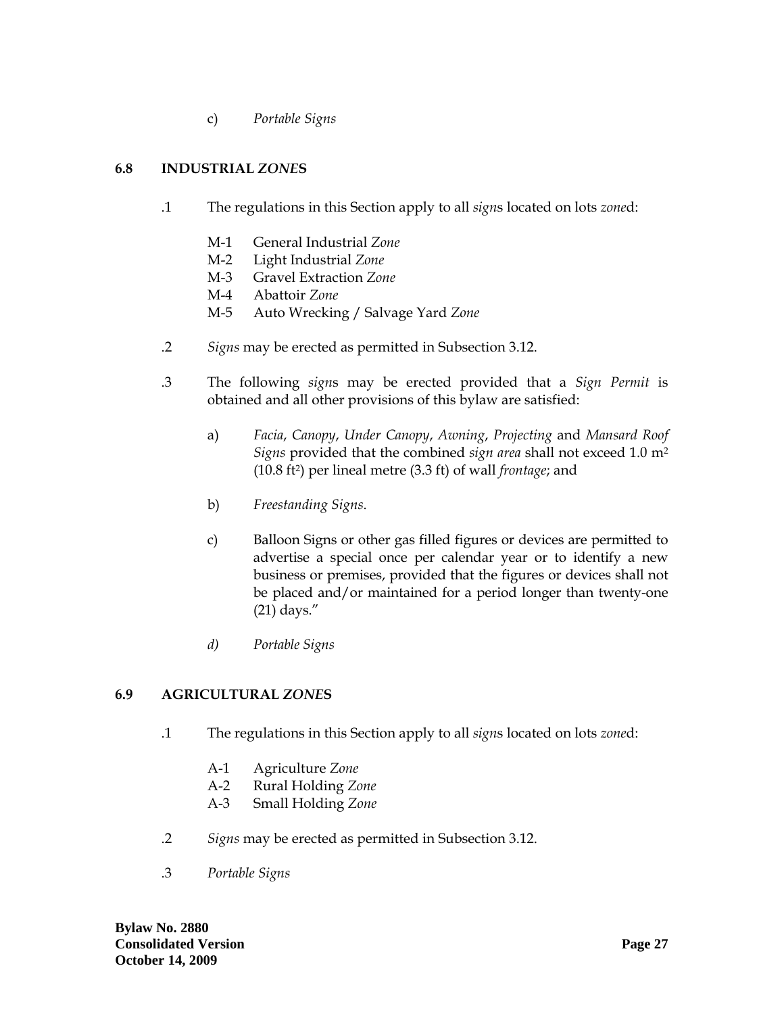c) *Portable Signs*

## <span id="page-28-0"></span>**6.8 INDUSTRIAL** *ZONE***S**

- .1 The regulations in this Section apply to all *sign*s located on lots *zone*d:
	- M-1 General Industrial *Zone*
	- M-2 Light Industrial *Zone*
	- M-3 Gravel Extraction *Zone*
	- M-4 Abattoir *Zone*
	- M-5 Auto Wrecking / Salvage Yard *Zone*
- .2 *Signs* may be erected as permitted in Subsection 3.12.
- .3 The following *sign*s may be erected provided that a *Sign Permit* is obtained and all other provisions of this bylaw are satisfied:
	- a) *Facia*, *Canopy*, *Under Canopy*, *Awning*, *Projecting* and *Mansard Roof Signs* provided that the combined *sign area* shall not exceed 1.0 m2 (10.8 ft2) per lineal metre (3.3 ft) of wall *frontage*; and
	- b) *Freestanding Signs*.
	- c) Balloon Signs or other gas filled figures or devices are permitted to advertise a special once per calendar year or to identify a new business or premises, provided that the figures or devices shall not be placed and/or maintained for a period longer than twenty-one (21) days."
	- *d) Portable Signs*

### **6.9 AGRICULTURAL** *ZONE***S**

- .1 The regulations in this Section apply to all *sign*s located on lots *zone*d:
	- A-1 Agriculture *Zone*
	- A-2 Rural Holding *Zone*
	- A-3 Small Holding *Zone*
- .2 *Signs* may be erected as permitted in Subsection 3.12.
- .3 *Portable Signs*

**Bylaw No. 2880 Consolidated Version Page 27 October 14, 2009**